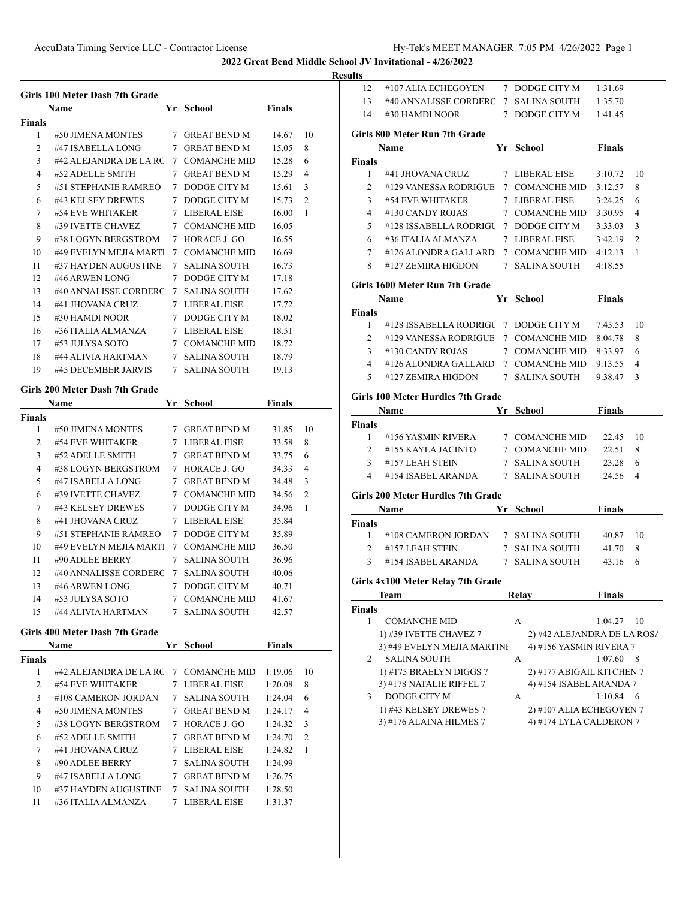#107 ALIA ECHEGOYEN 7 DODGE CITY M 1:31.69

**2022 Great Bend Middle School JV Invitational - 4/26/2022**

|                | Girls 100 Meter Dash 7th Grade        |                  |               |                |
|----------------|---------------------------------------|------------------|---------------|----------------|
|                | Name                                  | Yr School        | <b>Finals</b> |                |
| Finals<br>1    | #50 JIMENA MONTES                     | 7 GREAT BEND M   | 14.67         | 10             |
| $\overline{2}$ | #47 ISABELLA LONG                     | 7 GREAT BEND M   | 15.05         | 8              |
| 3              | #42 ALEJANDRA DE LA RC 7 COMANCHE MID |                  | 15.28         | 6              |
| 4              | #52 ADELLE SMITH                      | 7 GREAT BEND M   | 15.29         | $\overline{4}$ |
| 5              | #51 STEPHANIE RAMREO 7 DODGE CITY M   |                  | 15.61         | 3              |
| 6              | #43 KELSEY DREWES                     | 7 DODGE CITY M   | 15.73         | 2              |
| 7              | #54 EVE WHITAKER                      | 7 LIBERAL EISE   | 16.00         | 1              |
| 8              | #39 IVETTE CHAVEZ                     | 7 COMANCHE MID   | 16.05         |                |
| 9              | #38 LOGYN BERGSTROM                   | 7 HORACE J. GO   |               |                |
| 10             | #49 EVELYN MEJIA MART 7 COMANCHE MID  |                  | 16.55         |                |
| 11             | #37 HAYDEN AUGUSTINE                  | 7 SALINA SOUTH   | 16.69         |                |
|                |                                       |                  | 16.73         |                |
| 12<br>13       | #46 ARWEN LONG                        | 7 DODGE CITY M   | 17.18         |                |
|                | #40 ANNALISSE CORDERC 7 SALINA SOUTH  |                  | 17.62         |                |
| 14             | #41 JHOVANA CRUZ                      | 7 LIBERAL EISE   | 17.72         |                |
| 15             | #30 HAMDI NOOR                        | 7 DODGE CITY M   | 18.02         |                |
| 16             | #36 ITALIA ALMANZA                    | 7 LIBERAL EISE   | 18.51         |                |
| 17             | #53 JULYSA SOTO                       | 7 COMANCHE MID   | 18.72         |                |
| 18             | #44 ALIVIA HARTMAN                    | 7   SALINA SOUTH | 18.79         |                |
| 19             | #45 DECEMBER JARVIS 7 SALINA SOUTH    |                  | 19.13         |                |
|                | Girls 200 Meter Dash 7th Grade        |                  |               |                |
|                | <b>Name</b>                           | Yr School        | Finals        |                |
| Finals         |                                       |                  |               |                |
| 1              | #50 JIMENA MONTES                     | 7 GREAT BEND M   | 31.85         | 10             |
| 2              | #54 EVE WHITAKER                      | 7 LIBERAL EISE   | 33.58         | 8              |
| 3              | #52 ADELLE SMITH                      | 7 GREAT BEND M   | 33.75         | 6              |
| 4              | #38 LOGYN BERGSTROM                   | 7 HORACE J. GO   | 34.33         | $\overline{4}$ |
| 5              | #47 ISABELLA LONG                     | 7 GREAT BEND M   | 34.48         | 3              |
| 6              | #39 IVETTE CHAVEZ                     | 7 COMANCHE MID   | 34.56         | 2              |
| 7              | #43 KELSEY DREWES                     | 7 DODGE CITY M   | 34.96         | 1              |
| 8              | #41 JHOVANA CRUZ                      | 7 LIBERAL EISE   | 35.84         |                |
| 9              | #51 STEPHANIE RAMREO 7 DODGE CITY M   |                  | 35.89         |                |
| 10             | #49 EVELYN MEJIA MART 7 COMANCHE MID  |                  | 36.50         |                |
| 11             | #90 ADLEE BERRY                       | 7 SALINA SOUTH   | 36.96         |                |
| 12             | #40 ANNALISSE CORDERC                 | 7 SALINA SOUTH   | 40.06         |                |
| 13             | #46 ARWEN LONG                        | 7 DODGE CITY M   | 40.71         |                |
| 14             | #53 JULYSA SOTO                       | 7 COMANCHE MID   | 41.67         |                |
| 15             | #44 ALIVIA HARTMAN                    | 7 SALINA SOUTH   | 42.57         |                |
|                | Girls 400 Meter Dash 7th Grade        |                  |               |                |
|                | Name                                  | Yr School        | <b>Finals</b> |                |
| Finals         |                                       |                  |               |                |
|                | #42 ALEJANDRA DE LA RC                | 7 COMANCHE MID   | 1:19.06       | 10             |
| 1              | #54 EVE WHITAKER                      | 7 LIBERAL EISE   | 1:20.08       | 8              |
| 2              | #108 CAMERON JORDAN                   | 7 SALINA SOUTH   | 1:24.04       | 6              |
| 3              |                                       | 7 GREAT BEND M   | 1:24.17       | 4              |
| 4              | #50 JIMENA MONTES                     |                  |               | 3              |
| 5              | #38 LOGYN BERGSTROM                   | 7 HORACE J. GO   | 1:24.32       |                |
| 6              | #52 ADELLE SMITH                      | 7 GREAT BEND M   | 1:24.70       | 2              |
| 7              | #41 JHOVANA CRUZ                      | 7 LIBERAL EISE   | 1:24.82       | 1              |
| 8              | #90 ADLEE BERRY                       | 7 SALINA SOUTH   | 1:24.99       |                |
| 9              | #47 ISABELLA LONG                     | 7 GREAT BEND M   | 1:26.75       |                |
| 10             | #37 HAYDEN AUGUSTINE                  | 7 SALINA SOUTH   | 1:28.50       |                |

| 13             | #40 ANNALISSE CORDERC 7 SALINA SOUTH                  |                                                        | 1:35.70       |                |
|----------------|-------------------------------------------------------|--------------------------------------------------------|---------------|----------------|
| 14             | #30 HAMDI NOOR                                        | 7 DODGE CITY M                                         | 1:41.45       |                |
|                |                                                       |                                                        |               |                |
|                | Girls 800 Meter Run 7th Grade                         |                                                        |               |                |
|                | <b>Name</b>                                           | Yr School                                              | Finals        |                |
| <b>Finals</b>  |                                                       |                                                        |               |                |
| $\mathbf{1}$   | #41 JHOVANA CRUZ                                      | 7 LIBERAL EISE                                         | 3:10.72       | 10             |
| $\overline{2}$ | #129 VANESSA RODRIGUE 7 COMANCHE MID                  |                                                        | 3:12.57       | 8              |
| 3              | #54 EVE WHITAKER                                      | 7 LIBERAL EISE                                         | 3:24.25       | 6              |
| $\overline{4}$ | #130 CANDY ROJAS                                      | 7 COMANCHE MID                                         | 3:30.95       | 4              |
| 5              | #128 ISSABELLA RODRIGU 7 DODGE CITY M                 |                                                        | 3:33.03       | 3              |
| 6              | #36 ITALIA ALMANZA                                    | 7 LIBERAL EISE                                         | 3:42.19       | $\overline{2}$ |
| 7              | #126 ALONDRA GALLARD                                  | 7 COMANCHE MID                                         | 4:12.13       | 1              |
| 8              | #127 ZEMIRA HIGDON                                    | 7   SALINA SOUTH                                       | 4:18.55       |                |
|                |                                                       |                                                        |               |                |
|                | Girls 1600 Meter Run 7th Grade                        |                                                        |               |                |
|                | Name                                                  | Yr School                                              | <b>Finals</b> |                |
| Finals         |                                                       |                                                        |               |                |
| $\mathbf{1}$   | #128 ISSABELLA RODRIGU 7 DODGE CITY M                 |                                                        | 7:45.53       | 10             |
| $\overline{2}$ | #129 VANESSA RODRIGUE 7 COMANCHE MID                  |                                                        | 8:04.78       | 8              |
|                | 3 #130 CANDY ROJAS                                    | 7 COMANCHE MID                                         | 8:33.97       | 6              |
|                | 4 #126 ALONDRA GALLARD 7 COMANCHE MID                 |                                                        | 9:13.55       | $\overline{4}$ |
| $5^{\circ}$    | #127 ZEMIRA HIGDON 7 SALINA SOUTH                     |                                                        | 9:38.47       | 3              |
|                | Girls 100 Meter Hurdles 7th Grade                     |                                                        |               |                |
|                | Name<br><b>Example 18 School</b>                      |                                                        | <b>Finals</b> |                |
| Finals         |                                                       |                                                        |               |                |
| 1              | #156 YASMIN RIVERA                                    | 7 COMANCHE MID                                         | 22.45 10      |                |
| $\overline{2}$ | #155 KAYLA JACINTO                                    | 7 COMANCHE MID                                         | 22.51         | 8              |
| 3              | #157 LEAH STEIN                                       | 7   SALINA SOUTH                                       | 23.28         | 6              |
| 4              | #154 ISABEL ARANDA 7 SALINA SOUTH                     |                                                        | 24.56         | 4              |
|                |                                                       |                                                        |               |                |
|                | Girls 200 Meter Hurdles 7th Grade                     |                                                        |               |                |
|                | Name                                                  | Yr School                                              | Finals        |                |
| <b>Finals</b>  |                                                       |                                                        |               |                |
| $\mathbf{1}$   | #108 CAMERON JORDAN 7 SALINA SOUTH                    |                                                        | 40.87 10      |                |
|                | $2$ #157 LEAH STEIN                                   | 7 SALINA SOUTH                                         | 41.70         | 8              |
| $3^{\circ}$    | #154 ISABEL ARANDA                                    | 7 SALINA SOUTH                                         | 43.16         | 6              |
|                | Girls 4x100 Meter Relay 7th Grade                     |                                                        |               |                |
|                |                                                       |                                                        | <b>Finals</b> |                |
|                | Team                                                  | Relay                                                  |               |                |
| Finals         |                                                       |                                                        |               |                |
| 1              | <b>COMANCHE MID</b>                                   | А                                                      | 1:04.27       | 10             |
|                | 1) #39 IVETTE CHAVEZ 7<br>3) #49 EVELYN MEJIA MARTINI | 2) #42 ALEJANDRA DE LA ROS/<br>4) #156 YASMIN RIVERA 7 |               |                |
| 2              | SALINA SOUTH                                          | А                                                      | 1:07.60       | 8              |
|                | 1) #175 BRAELYN DIGGS 7                               |                                                        |               |                |
|                | 3) #178 NATALIE RIFFEL 7                              | 2) #177 ABIGAIL KITCHEN 7<br>4) #154 ISABEL ARANDA 7   |               |                |
| 3              | DODGE CITY M                                          | А                                                      | 1:10.84       | - 6            |
|                | 1) #43 KELSEY DREWES 7                                | 2) #107 ALIA ECHEGOYEN 7                               |               |                |
|                | 3) #176 ALAINA HILMES 7                               | 4) #174 LYLA CALDERON 7                                |               |                |
|                |                                                       |                                                        |               |                |
|                |                                                       |                                                        |               |                |
|                |                                                       |                                                        |               |                |
|                |                                                       |                                                        |               |                |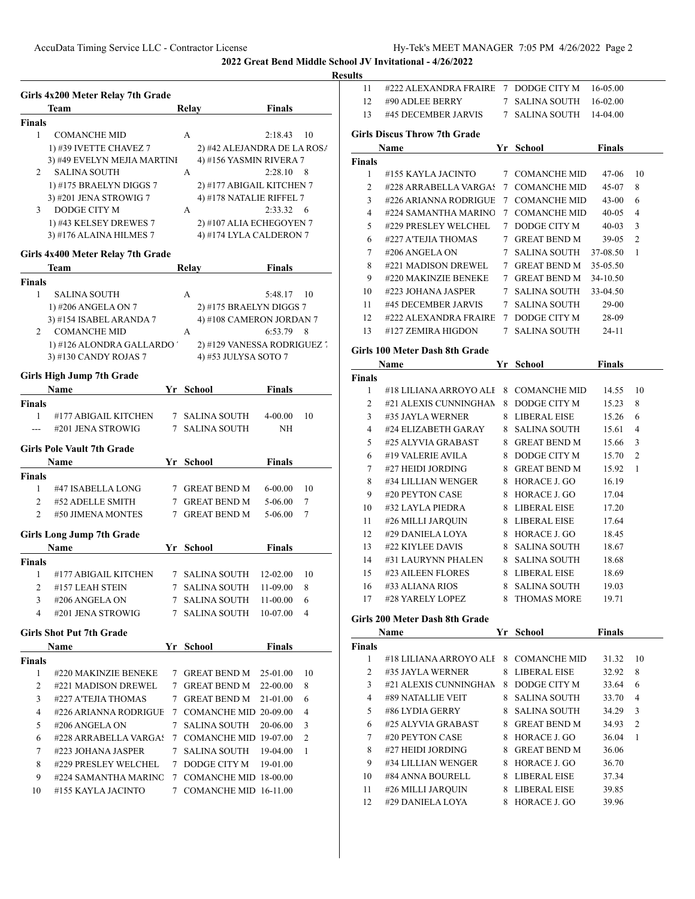|                    | Girls 4x200 Meter Relay 7th Grade        |                             |                   |      |
|--------------------|------------------------------------------|-----------------------------|-------------------|------|
|                    | Team                                     | Relay                       | Finals            |      |
| <b>Finals</b>      |                                          |                             |                   |      |
| $\mathbf{1}$       | <b>COMANCHE MID</b>                      | A                           | $2:18.43$ 10      |      |
|                    | 1) #39 IVETTE CHAVEZ 7                   | 2) #42 ALEJANDRA DE LA ROS/ |                   |      |
|                    | 3) #49 EVELYN MEJIA MARTINI              | 4) #156 YASMIN RIVERA 7     |                   |      |
| 2                  | <b>SALINA SOUTH</b>                      | A                           | 2:28.10           | 8    |
|                    | 1) #175 BRAELYN DIGGS 7                  | 2) #177 ABIGAIL KITCHEN 7   |                   |      |
|                    | 3) #201 JENA STROWIG 7                   | 4) #178 NATALIE RIFFEL 7    |                   |      |
| 3                  | DODGE CITY M                             | A                           | $2:33.32 \quad 6$ |      |
|                    | 1) #43 KELSEY DREWES 7                   | 2) #107 ALIA ECHEGOYEN 7    |                   |      |
|                    | 3) #176 ALAINA HILMES 7                  | 4) #174 LYLA CALDERON 7     |                   |      |
|                    | Girls 4x400 Meter Relay 7th Grade        |                             |                   |      |
|                    | Team                                     | Relay                       | <b>Finals</b>     |      |
| <b>Finals</b>      |                                          |                             |                   |      |
| $\mathbf{1}$       | <b>SALINA SOUTH</b>                      | A                           | 5:48.17           | - 10 |
|                    | 1) #206 ANGELA ON 7                      | 2) #175 BRAELYN DIGGS 7     |                   |      |
|                    | 3) #154 ISABEL ARANDA 7                  | 4) #108 CAMERON JORDAN 7    |                   |      |
|                    | 2 COMANCHE MID                           | A                           | 6:53.79           | 8    |
|                    | 1) #126 ALONDRA GALLARDO '               | 2) #129 VANESSA RODRIGUEZ   |                   |      |
|                    | 3) #130 CANDY ROJAS 7                    | 4) #53 JULYSA SOTO 7        |                   |      |
|                    | <b>Girls High Jump 7th Grade</b>         |                             |                   |      |
|                    | <b>Name</b>                              | Yr School                   | <b>Finals</b>     |      |
| Finals             |                                          |                             |                   |      |
| 1                  | #177 ABIGAIL KITCHEN                     | 7 SALINA SOUTH              | 4-00.00           | 10   |
| ---                | #201 JENA STROWIG                        | 7 SALINA SOUTH              | NΗ                |      |
|                    | <b>Girls Pole Vault 7th Grade</b>        |                             |                   |      |
|                    | Name                                     | Yr School                   | <b>Finals</b>     |      |
| <b>Finals</b>      |                                          |                             |                   |      |
| $\mathbf{1}$       | #47 ISABELLA LONG                        | 7 GREAT BEND M              | 6-00.00           | 10   |
| 2                  | #52 ADELLE SMITH                         | 7 GREAT BEND M              | 5-06.00           | 7    |
| $\overline{2}$     | #50 JIMENA MONTES                        | 7 GREAT BEND M              | 5-06.00           | 7    |
|                    |                                          |                             |                   |      |
|                    | <b>Girls Long Jump 7th Grade</b><br>Name | Yr School                   | <b>Finals</b>     |      |
|                    |                                          |                             |                   |      |
| <b>Finals</b><br>1 | #177 ABIGAIL KITCHEN                     | 7 SALINA SOUTH              | 12-02.00          | 10   |
| 2                  | #157 LEAH STEIN                          | 7 SALINA SOUTH              | 11-09.00          | 8    |
| 3                  | #206 ANGELA ON                           | 7 SALINA SOUTH              | 11-00.00          | 6    |
| 4                  | #201 JENA STROWIG                        | 7 SALINA SOUTH              | 10-07.00          | 4    |
|                    |                                          |                             |                   |      |
|                    | <b>Girls Shot Put 7th Grade</b>          |                             |                   |      |
|                    | Name                                     | Yr School                   | <b>Finals</b>     |      |
| <b>Finals</b>      |                                          |                             |                   |      |
| 1                  | #220 MAKINZIE BENEKE                     | 7 GREAT BEND M              | 25-01.00          | 10   |
| 2                  | #221 MADISON DREWEL                      | 7 GREAT BEND M              | 22-00.00          | 8    |
| 3                  | #227 A'TEJIA THOMAS                      | 7 GREAT BEND M              | 21-01.00          | 6    |
| 4                  | #226 ARIANNA RODRIGUE                    | 7 COMANCHE MID 20-09.00     |                   | 4    |
| 5                  | #206 ANGELA ON                           | 7 SALINA SOUTH              | 20-06.00          | 3    |
| 6                  | #228 ARRABELLA VARGAS                    | 7 COMANCHE MID 19-07.00     |                   | 2    |
| 7                  | #223 JOHANA JASPER                       | 7 SALINA SOUTH              | 19-04.00          | 1    |
| 8                  | #229 PRESLEY WELCHEL                     | 7 DODGE CITY M              | 19-01.00          |      |
| 9                  | #224 SAMANTHA MARINC                     | 7 COMANCHE MID 18-00.00     |                   |      |
| 10                 | #155 KAYLA JACINTO                       | 7 COMANCHE MID 16-11.00     |                   |      |
|                    |                                          |                             |                   |      |

| 11            | #222 ALEXANDRA FRAIRE                           |    | 7 DODGE CITY M                   | 16-05.00       |    |
|---------------|-------------------------------------------------|----|----------------------------------|----------------|----|
| 12            | #90 ADLEE BERRY                                 |    | 7 SALINA SOUTH                   | 16-02.00       |    |
| 13            | #45 DECEMBER JARVIS                             |    | 7 SALINA SOUTH                   | 14-04.00       |    |
|               |                                                 |    |                                  |                |    |
|               | <b>Girls Discus Throw 7th Grade</b>             |    |                                  |                |    |
|               | Name                                            |    | Yr School                        | <b>Finals</b>  |    |
| <b>Finals</b> |                                                 |    |                                  |                |    |
| 1             | #155 KAYLA JACINTO                              |    | 7 COMANCHE MID                   | 47-06          | 10 |
| 2             | #228 ARRABELLA VARGAS                           |    | 7 COMANCHE MID                   | 45-07          | 8  |
| 3             | #226 ARIANNA RODRIGUE                           |    | 7 COMANCHE MID                   | $43 - 00$      | 6  |
| 4             | #224 SAMANTHA MARINO                            |    | 7 COMANCHE MID                   | 40-05          | 4  |
| 5             | #229 PRESLEY WELCHEL                            |    | 7 DODGE CITY M                   | $40 - 03$      | 3  |
| 6             | #227 A'TEJIA THOMAS                             |    | 7 GREAT BEND M                   | 39-05          | 2  |
| 7             | #206 ANGELA ON                                  |    | 7 SALINA SOUTH                   | 37-08.50       | 1  |
| 8             | #221 MADISON DREWEL                             |    | 7 GREAT BEND M                   | 35-05.50       |    |
| 9             | #220 MAKINZIE BENEKE                            |    | 7 GREAT BEND M                   | 34-10.50       |    |
| 10            | #223 JOHANA JASPER                              | 7  | <b>SALINA SOUTH</b>              | 33-04.50       |    |
| 11            | #45 DECEMBER JARVIS                             |    | 7 SALINA SOUTH                   | 29-00          |    |
| 12            | #222 ALEXANDRA FRAIRE                           |    | 7 DODGE CITY M                   | 28-09          |    |
| 13            | #127 ZEMIRA HIGDON                              | 7  | <b>SALINA SOUTH</b>              | 24-11          |    |
|               | Girls 100 Meter Dash 8th Grade                  |    |                                  |                |    |
|               |                                                 |    |                                  |                |    |
|               | Name                                            |    | Yr School                        | <b>Finals</b>  |    |
| Finals        |                                                 |    |                                  |                |    |
| 1             | #18 LILIANA ARROYO ALI<br>#21 ALEXIS CUNNINGHAN | 8  | <b>COMANCHE MID</b>              | 14.55          | 10 |
| 2             |                                                 | 8  | DODGE CITY M                     | 15.23          | 8  |
| 3             | #35 JAYLA WERNER                                | 8  | LIBERAL EISE                     | 15.26          | 6  |
| 4             | #24 ELIZABETH GARAY                             |    | 8 SALINA SOUTH                   | 15.61          | 4  |
| 5             | #25 ALYVIA GRABAST                              |    | 8 GREAT BEND M                   | 15.66          | 3  |
| 6             | #19 VALERIE AVILA                               |    | 8 DODGE CITY M                   | 15.70          | 2  |
| 7             | #27 HEIDI JORDING                               |    | 8 GREAT BEND M                   | 15.92          | 1  |
| 8             | #34 LILLIAN WENGER                              |    | 8 HORACE J. GO                   | 16.19          |    |
| 9             | #20 PEYTON CASE                                 |    | 8 HORACE J. GO                   | 17.04          |    |
| 10            | #32 LAYLA PIEDRA                                |    | 8 LIBERAL EISE                   | 17.20          |    |
| 11            | #26 MILLI JARQUIN                               |    | 8 LIBERAL EISE                   | 17.64          |    |
| 12            | #29 DANIELA LOYA                                |    | 8 HORACE J. GO                   | 18.45          |    |
| 13            | #22 KIYLEE DAVIS                                |    | 8 SALINA SOUTH                   | 18.67          |    |
| 14            | #31 LAURYNN PHALEN                              |    | 8 SALINA SOUTH                   | 18.68          |    |
| 15            | #23 AILEEN FLORES                               |    | 8 LIBERAL EISE                   | 18.69          |    |
| 16            | #33 ALIANA RIOS                                 | 8  | <b>SALINA SOUTH</b>              | 19.03          |    |
| 17            | #28 YARELY LOPEZ                                | 8  | <b>THOMAS MORE</b>               | 19.71          |    |
|               | Girls 200 Meter Dash 8th Grade                  |    |                                  |                |    |
|               | Name                                            |    | Yr School                        | Finals         |    |
| <b>Finals</b> |                                                 |    |                                  |                |    |
| 1             | #18 LILIANA ARROYO ALI                          |    | 8 COMANCHE MID                   | 31.32          | 10 |
| 2             | #35 JAYLA WERNER                                | 8  | <b>LIBERAL EISE</b>              | 32.92          | 8  |
| 3             | #21 ALEXIS CUNNINGHAN                           | 8. | DODGE CITY M                     | 33.64          | 6  |
| 4             | #89 NATALLIE VEIT                               | 8. | <b>SALINA SOUTH</b>              | 33.70          | 4  |
| 5             | #86 LYDIA GERRY                                 | 8  | <b>SALINA SOUTH</b>              | 34.29          | 3  |
| 6             | #25 ALYVIA GRABAST                              |    | 8 GREAT BEND M                   | 34.93          | 2  |
| 7             |                                                 |    | 8 HORACE J. GO                   | 36.04          | 1  |
|               | #20 PEYTON CASE                                 |    |                                  |                |    |
| 8             | #27 HEIDI JORDING                               | 8  | <b>GREAT BEND M</b>              | 36.06          |    |
| 9             | #34 LILLIAN WENGER                              |    | 8 HORACE J. GO                   | 36.70          |    |
| 10            | #84 ANNA BOURELL                                |    |                                  |                |    |
| 11            | #26 MILLI JARQUIN                               |    | 8 LIBERAL EISE<br>8 LIBERAL EISE | 37.34<br>39.85 |    |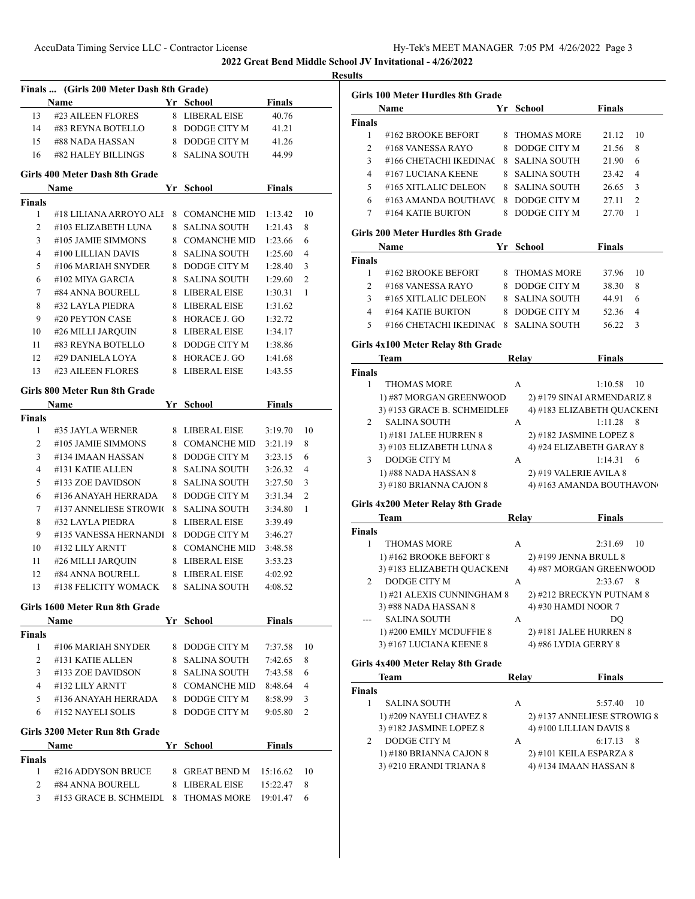|                     | Name                                 | Yr School                        | <b>Finals</b>        |    |
|---------------------|--------------------------------------|----------------------------------|----------------------|----|
| 13                  | #23 AILEEN FLORES                    | 8 LIBERAL EISE                   | 40.76                |    |
|                     | 14 #83 REYNA BOTELLO                 | 8 DODGE CITY M                   | 41.21                |    |
|                     | 15 #88 NADA HASSAN                   | 8 DODGE CITY M                   | 41.26                |    |
| 16                  | #82 HALEY BILLINGS                   | 8 SALINA SOUTH                   | 44.99                |    |
|                     | Girls 400 Meter Dash 8th Grade       |                                  |                      |    |
| <b>Finals</b>       | <b>Name</b>                          | Yr School                        | <b>Finals</b>        |    |
| 1                   | #18 LILIANA ARROYO ALE               | 8 COMANCHE MID                   | 1:13.42              | 10 |
| 2                   | #103 ELIZABETH LUNA                  | 8   SALINA SOUTH                 | 1:21.43              | 8  |
| 3                   | #105 JAMIE SIMMONS                   | 8 COMANCHE MID                   | 1:23.66              | 6  |
| 4                   | #100 LILLIAN DAVIS                   | 8 SALINA SOUTH                   | 1:25.60              | 4  |
| 5                   | #106 MARIAH SNYDER                   | 8 DODGE CITY M                   | 1:28.40              | 3  |
| 6                   | #102 MIYA GARCIA                     | 8 SALINA SOUTH                   | 1:29.60              | 2  |
| 7                   | #84 ANNA BOURELL                     | 8 LIBERAL EISE                   | 1:30.31              | 1  |
| 8                   | #32 LAYLA PIEDRA                     | 8 LIBERAL EISE                   | 1:31.62              |    |
| 9                   | #20 PEYTON CASE                      | 8 HORACE J. GO                   | 1:32.72              |    |
| 10                  | #26 MILLI JARQUIN                    | 8 LIBERAL EISE                   | 1:34.17              |    |
| 11                  | #83 REYNA BOTELLO                    | 8 DODGE CITY M                   | 1:38.86              |    |
| 12                  | #29 DANIELA LOYA                     | 8 HORACE J. GO                   | 1:41.68              |    |
| 13                  | #23 AILEEN FLORES                    | 8 LIBERAL EISE                   | 1:43.55              |    |
|                     | Girls 800 Meter Run 8th Grade        |                                  |                      |    |
|                     | Name                                 | Yr School                        | <b>Finals</b>        |    |
| <b>Finals</b>       |                                      |                                  |                      |    |
| 1                   | #35 JAYLA WERNER                     | 8 LIBERAL EISE                   | 3:19.70              | 10 |
| 2                   | #105 JAMIE SIMMONS                   | 8 COMANCHE MID                   | 3:21.19              | 8  |
| 3                   | #134 IMAAN HASSAN                    | 8 DODGE CITY M                   | 3:23.15              | 6  |
| 4                   | #131 KATIE ALLEN                     | 8 SALINA SOUTH                   | 3:26.32              | 4  |
| 5                   | #133 ZOE DAVIDSON                    | 8 SALINA SOUTH                   | 3:27.50              | 3  |
| 6                   | #136 ANAYAH HERRADA                  | 8 DODGE CITY M                   | 3:31.34              | 2  |
| 7                   | #137 ANNELIESE STROWIC               | 8 SALINA SOUTH                   | 3:34.80              | 1  |
| 8                   | #32 LAYLA PIEDRA                     | 8 LIBERAL EISE                   | 3:39.49              |    |
| 9                   | #135 VANESSA HERNANDI 8 DODGE CITY M |                                  | 3:46.27              |    |
| 10                  | #132 LILY ARNTT                      | 8 COMANCHE MID                   | 3:48.58              |    |
| 11                  | #26 MILLI JARQUIN                    | 8 LIBERAL EISE                   | 3:53.23              |    |
| 12                  | #84 ANNA BOURELL                     | 8 LIBERAL EISE                   | 4:02.92              |    |
| 13                  | #138 FELICITY WOMACK                 | 8 SALINA SOUTH                   | 4:08.52              |    |
|                     | Girls 1600 Meter Run 8th Grade       |                                  |                      |    |
|                     | Name                                 | Yr School                        | <b>Finals</b>        |    |
| <b>Finals</b>       |                                      |                                  |                      |    |
| $\mathbf{1}$        | #106 MARIAH SNYDER                   | 8 DODGE CITY M                   | 7:37.58              | 10 |
| $\overline{2}$      | #131 KATIE ALLEN                     | 8 SALINA SOUTH                   | 7:42.65              | 8  |
| 3                   | #133 ZOE DAVIDSON                    | 8 SALINA SOUTH                   | 7:43.58              | 6  |
| 4                   | #132 LILY ARNTT                      | 8 COMANCHE MID                   | 8:48.64              | 4  |
| 5                   | #136 ANAYAH HERRADA                  | 8 DODGE CITY M                   | 8:58.99              | 3  |
| 6                   | #152 NAYELI SOLIS                    | 8 DODGE CITY M                   | 9:05.80              | 2  |
|                     | Girls 3200 Meter Run 8th Grade       |                                  |                      |    |
|                     | Name                                 | Yr School                        | Finals               |    |
| <b>Finals</b>       |                                      |                                  |                      |    |
|                     | #216 ADDYSON BRUCE                   | 8 GREAT BEND M<br>8 LIBERAL EISE | 15:16.62<br>15:22.47 | 10 |
| 1<br>$\overline{2}$ | #84 ANNA BOURELL                     |                                  |                      | 8  |

|                | <b>Girls 100 Meter Hurdles 8th Grade</b><br>Name   |       | Yr School                                         | <b>Finals</b> |    |
|----------------|----------------------------------------------------|-------|---------------------------------------------------|---------------|----|
| <b>Finals</b>  |                                                    |       |                                                   |               |    |
| 1              | #162 BROOKE BEFORT<br>8                            |       | <b>THOMAS MORE</b>                                | 21.12         | 10 |
| $\overline{2}$ | #168 VANESSA RAYO<br>8                             |       | DODGE CITY M                                      | 21.56         | 8  |
| 3              | #166 CHETACHI IKEDINAC                             |       | 8 SALINA SOUTH                                    | 21.90         | 6  |
| 4              | #167 LUCIANA KEENE<br>8                            |       | SALINA SOUTH                                      | 23.42         | 4  |
| 5              | #165 XITLALIC DELEON                               |       | 8 SALINA SOUTH                                    | 26.65         | 3  |
| 6              | #163 AMANDA BOUTHAVC                               |       | 8 DODGE CITY M                                    | 27.11         | 2  |
| 7              | #164 KATIE BURTON                                  |       | 8 DODGE CITY M                                    | 27.70         | 1  |
|                | Girls 200 Meter Hurdles 8th Grade                  |       |                                                   |               |    |
|                | Name                                               |       | Yr School                                         | <b>Finals</b> |    |
| <b>Finals</b>  |                                                    |       |                                                   |               |    |
| 1              | #162 BROOKE BEFORT<br>8                            |       | THOMAS MORE                                       | 37.96         | 10 |
| $\overline{2}$ | #168 VANESSA RAYO                                  |       | 8 DODGE CITY M                                    | 38.30         | 8  |
| 3              | #165 XITLALIC DELEON                               |       | 8 SALINA SOUTH                                    | 44.91         | 6  |
| 4              | #164 KATIE BURTON                                  |       | 8 DODGE CITY M                                    | 52.36         | 4  |
| 5              | #166 CHETACHI IKEDINAC 8 SALINA SOUTH              |       |                                                   | 56.22         | 3  |
|                | Girls 4x100 Meter Relay 8th Grade                  |       |                                                   |               |    |
|                | Team                                               |       | Relay                                             | <b>Finals</b> |    |
| <b>Finals</b>  |                                                    |       |                                                   |               |    |
| 1              | <b>THOMAS MORE</b>                                 | A     |                                                   | 1:10.58       | 10 |
|                | 1) #87 MORGAN GREENWOOD                            |       | 2) #179 SINAI ARMENDARIZ 8                        |               |    |
| 2              | 3) #153 GRACE B. SCHMEIDLEF<br><b>SALINA SOUTH</b> |       | 4) #183 ELIZABETH QUACKENI                        | 1:11.28       | 8  |
|                | 1) #181 JALEE HURREN 8                             | A     | 2) #182 JASMINE LOPEZ 8                           |               |    |
|                | 3) #103 ELIZABETH LUNA 8                           |       | 4) #24 ELIZABETH GARAY 8                          |               |    |
| $\overline{3}$ | DODGE CITY M                                       | A     |                                                   | 1:14.31       | 6  |
|                | 1) #88 NADA HASSAN 8                               |       | 2) #19 VALERIE AVILA 8                            |               |    |
|                | 3) #180 BRIANNA CAJON 8                            |       | 4) #163 AMANDA BOUTHAVON                          |               |    |
|                |                                                    |       |                                                   |               |    |
|                | Girls 4x200 Meter Relay 8th Grade<br>Team          |       |                                                   |               |    |
|                |                                                    |       | Relay                                             | Finals        |    |
|                |                                                    |       |                                                   |               |    |
| <b>Finals</b>  |                                                    |       |                                                   |               |    |
| 1              | <b>THOMAS MORE</b>                                 | A     |                                                   | 2:31.69       | 10 |
|                | 1) #162 BROOKE BEFORT 8                            |       | 2) #199 JENNA BRULL 8                             |               |    |
| 2              | 3) #183 ELIZABETH QUACKENI<br>DODGE CITY M         | А     | 4) #87 MORGAN GREENWOOD                           | 2:33.67 8     |    |
|                | 1) #21 ALEXIS CUNNINGHAM 8                         |       | 2) #212 BRECKYN PUTNAM 8                          |               |    |
|                | 3) #88 NADA HASSAN 8                               |       | 4) #30 HAMDI NOOR 7                               |               |    |
|                | <b>SALINA SOUTH</b>                                | А     |                                                   | DQ            |    |
|                | 1) #200 EMILY MCDUFFIE 8                           |       | 2) #181 JALEE HURREN 8                            |               |    |
|                | 3) #167 LUCIANA KEENE 8                            |       | 4) #86 LYDIA GERRY 8                              |               |    |
|                | Girls 4x400 Meter Relay 8th Grade                  |       |                                                   |               |    |
|                | Team                                               | Relay |                                                   | <b>Finals</b> |    |
| Finals         |                                                    |       |                                                   |               |    |
| 1              | <b>SALINA SOUTH</b>                                | А     |                                                   | 5:57.40       | 10 |
|                | 1) #209 NAYELI CHAVEZ 8                            |       | 2) #137 ANNELIESE STROWIG 8                       |               |    |
|                | 3) #182 JASMINE LOPEZ 8                            |       | 4) #100 LILLIAN DAVIS 8                           |               |    |
| 2              | DODGE CITY M                                       | A     |                                                   | 6:17.13       | 8  |
|                | 1) #180 BRIANNA CAJON 8<br>3) #210 ERANDI TRIANA 8 |       | 2) #101 KEILA ESPARZA 8<br>4) #134 IMAAN HASSAN 8 |               |    |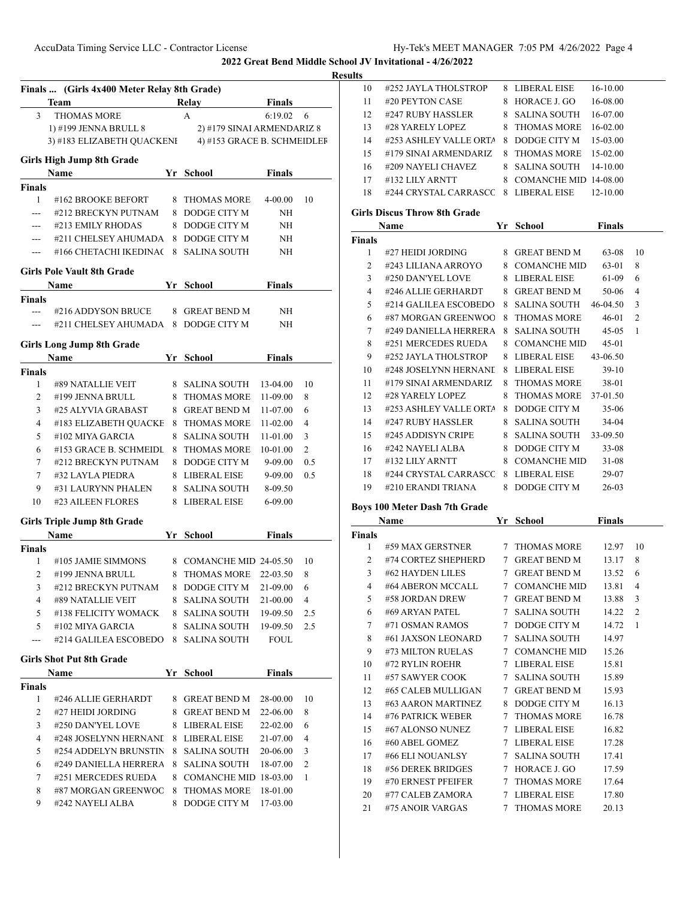#252 JAYLA THOLSTROP 8 LIBERAL EISE 16-10.00 #20 PEYTON CASE 8 HORACE J. GO 16-08.00

**2022 Great Bend Middle School JV Invitational - 4/26/2022**

|                | Finals  (Girls 4x400 Meter Relay 8th Grade)                                     |   |                                  |                          |     |
|----------------|---------------------------------------------------------------------------------|---|----------------------------------|--------------------------|-----|
| 3              | Team<br><b>THOMAS MORE</b>                                                      |   | Relay<br>A                       | <b>Finals</b><br>6:19.02 | 6   |
|                |                                                                                 |   |                                  |                          |     |
|                | 1) #199 JENNA BRULL 8<br>3) #183 ELIZABETH QUACKENI 4) #153 GRACE B. SCHMEIDLEF |   | 2) #179 SINAI ARMENDARIZ 8       |                          |     |
|                |                                                                                 |   |                                  |                          |     |
|                | <b>Girls High Jump 8th Grade</b>                                                |   |                                  |                          |     |
| Finals         | Name                                                                            |   | Yr School                        | <b>Finals</b>            |     |
| 1              | #162 BROOKE BEFORT                                                              |   | 8 THOMAS MORE                    | $4 - 00.00$              | 10  |
| $---$          | #212 BRECKYN PUTNAM                                                             |   | 8 DODGE CITY M                   | NH                       |     |
| ---            | #213 EMILY RHODAS                                                               |   | 8 DODGE CITY M                   | NH                       |     |
| ---            | #211 CHELSEY AHUMADA                                                            |   | 8 DODGE CITY M                   | NH                       |     |
| $\cdots$       | #166 CHETACHI IKEDINAC                                                          |   | 8 SALINA SOUTH                   | NH                       |     |
|                | <b>Girls Pole Vault 8th Grade</b>                                               |   |                                  |                          |     |
|                | <b>School</b> School<br>Name                                                    |   |                                  | <b>Finals</b>            |     |
| <b>Finals</b>  |                                                                                 |   |                                  |                          |     |
| <b>HAMPS</b>   | #216 ADDYSON BRUCE                                                              |   | 8 GREAT BEND M                   | NH                       |     |
|                | --- #211 CHELSEY AHUMADA                                                        |   | 8 DODGE CITY M                   | NH                       |     |
|                |                                                                                 |   |                                  |                          |     |
|                | <b>Girls Long Jump 8th Grade</b><br>Name                                        |   | Yr School                        | Finals                   |     |
| Finals         |                                                                                 |   |                                  |                          |     |
| 1              | #89 NATALLIE VEIT                                                               |   | 8 SALINA SOUTH                   | 13-04.00                 | 10  |
| 2              | #199 JENNA BRULL                                                                |   | 8 THOMAS MORE                    | 11-09.00                 | 8   |
| 3              | #25 ALYVIA GRABAST                                                              |   | 8 GREAT BEND M                   | 11-07.00                 | 6   |
| $\overline{4}$ | #183 ELIZABETH QUACKE                                                           |   | 8 THOMAS MORE                    | 11-02.00                 | 4   |
| 5              | #102 MIYA GARCIA                                                                |   | 8 SALINA SOUTH                   | 11-01.00                 | 3   |
| 6              | #153 GRACE B. SCHMEIDL                                                          |   | 8 THOMAS MORE                    | 10-01.00                 | 2   |
| 7              | #212 BRECKYN PUTNAM                                                             |   | 8 DODGE CITY M                   | 9-09.00                  | 0.5 |
| 7              | #32 LAYLA PIEDRA                                                                |   | 8 LIBERAL EISE                   |                          | 0.5 |
| 9              |                                                                                 |   |                                  | 9-09.00                  |     |
| 10             | #31 LAURYNN PHALEN<br>#23 AILEEN FLORES                                         |   | 8 SALINA SOUTH<br>8 LIBERAL EISE | 8-09.50<br>6-09.00       |     |
|                |                                                                                 |   |                                  |                          |     |
|                | <b>Girls Triple Jump 8th Grade</b>                                              |   |                                  |                          |     |
|                | <b>Name</b>                                                                     |   | Yr School                        | <b>Finals</b>            |     |
| Finals         |                                                                                 |   |                                  |                          |     |
| 1              | #105 JAMIE SIMMONS                                                              |   | 8 COMANCHE MID 24-05.50          |                          | 10  |
| 2              | #199 JENNA BRULL                                                                |   | 8 THOMAS MORE                    | 22-03.50                 | 8   |
| 3 <sup>7</sup> | #212 BRECKYN PUTNAM 8 DODGE CITY M 21-09.00                                     |   |                                  |                          | 6   |
| 4              | #89 NATALLIE VEIT                                                               |   | 8 SALINA SOUTH                   | 21-00.00                 | 4   |
| 5              | #138 FELICITY WOMACK                                                            |   | 8 SALINA SOUTH                   | 19-09.50                 | 2.5 |
| 5              | #102 MIYA GARCIA                                                                |   | 8 SALINA SOUTH                   | 19-09.50                 | 2.5 |
| $---$          | #214 GALILEA ESCOBEDO                                                           |   | 8 SALINA SOUTH                   | FOUL                     |     |
|                | <b>Girls Shot Put 8th Grade</b>                                                 |   |                                  |                          |     |
|                | Name                                                                            |   | Yr School                        | <b>Finals</b>            |     |
| <b>Finals</b>  |                                                                                 |   |                                  |                          |     |
| 1              | #246 ALLIE GERHARDT                                                             |   | 8 GREAT BEND M                   | 28-00.00                 | 10  |
| 2              | #27 HEIDI JORDING                                                               |   | 8 GREAT BEND M                   | 22-06.00                 | 8   |
| 3              | #250 DAN'YEL LOVE                                                               |   | 8 LIBERAL EISE                   | 22-02.00                 | 6   |
| 4              | #248 JOSELYNN HERNANI                                                           |   | 8 LIBERAL EISE                   | 21-07.00                 | 4   |
| 5              | #254 ADDELYN BRUNSTIN                                                           |   | 8 SALINA SOUTH                   | 20-06.00                 | 3   |
| 6              | #249 DANIELLA HERRERA                                                           |   | 8 SALINA SOUTH                   | 18-07.00                 | 2   |
|                | #251 MERCEDES RUEDA                                                             |   | 8 COMANCHE MID 18-03.00          |                          | 1   |
| 7              |                                                                                 |   |                                  |                          |     |
| 8<br>9         | #87 MORGAN GREENWOC<br>#242 NAYELI ALBA                                         | 8 | 8 THOMAS MORE<br>DODGE CITY M    | 18-01.00<br>17-03.00     |     |

| 12            | #247 RUBY HASSLER                     | 8  | <b>SALINA SOUTH</b>     | 16-07.00      |                |
|---------------|---------------------------------------|----|-------------------------|---------------|----------------|
| 13            | #28 YARELY LOPEZ                      | 8  | <b>THOMAS MORE</b>      | 16-02.00      |                |
| 14            | #253 ASHLEY VALLE ORTA                | 8. | DODGE CITY M            | 15-03.00      |                |
| 15            | #179 SINAI ARMENDARIZ                 | 8  | <b>THOMAS MORE</b>      | 15-02.00      |                |
| 16            | #209 NAYELI CHAVEZ                    | 8  | <b>SALINA SOUTH</b>     | 14-10.00      |                |
| 17            | #132 LILY ARNTT                       |    | 8 COMANCHE MID 14-08.00 |               |                |
| 18            | #244 CRYSTAL CARRASCC                 |    | 8 LIBERAL EISE          | 12-10.00      |                |
|               | <b>Girls Discus Throw 8th Grade</b>   |    |                         |               |                |
|               | Name                                  | Yr | School                  | <b>Finals</b> |                |
| <b>Finals</b> |                                       |    |                         |               |                |
| 1             | #27 HEIDI JORDING                     |    | 8 GREAT BEND M          | 63-08         | 10             |
| 2             | #243 LILIANA ARROYO                   |    | 8 COMANCHE MID          | 63-01         | 8              |
| 3             | #250 DAN'YEL LOVE                     |    | 8 LIBERAL EISE          | 61-09         | 6              |
| 4             | #246 ALLIE GERHARDT                   | 8  | <b>GREAT BEND M</b>     | 50-06         | 4              |
| 5             | #214 GALILEA ESCOBEDO                 | 8  | <b>SALINA SOUTH</b>     | 46-04.50      | 3              |
| 6             | #87 MORGAN GREENWOO                   | 8  | <b>THOMAS MORE</b>      | 46-01         | $\overline{c}$ |
| 7             | #249 DANIELLA HERRERA                 | 8  | <b>SALINA SOUTH</b>     | 45-05         | 1              |
| 8             | #251 MERCEDES RUEDA                   | 8  | <b>COMANCHE MID</b>     | 45-01         |                |
| 9             | #252 JAYLA THOLSTROP                  | 8  | LIBERAL EISE            | 43-06.50      |                |
| 10            | #248 JOSELYNN HERNANI                 | 8  | LIBERAL EISE            | $39-10$       |                |
| 11            | #179 SINAI ARMENDARIZ                 | 8  | <b>THOMAS MORE</b>      | 38-01         |                |
| 12            | #28 YARELY LOPEZ                      | 8  | <b>THOMAS MORE</b>      | 37-01.50      |                |
| 13            | #253 ASHLEY VALLE ORTA                |    | 8 DODGE CITY M          | 35-06         |                |
| 14            | #247 RUBY HASSLER                     |    | 8 SALINA SOUTH          | 34-04         |                |
| 15            | #245 ADDISYN CRIPE                    | 8  | SALINA SOUTH            | 33-09.50      |                |
| 16            | #242 NAYELI ALBA                      | 8  | DODGE CITY M            | $33 - 08$     |                |
| 17            | #132 LILY ARNTT                       | 8  | <b>COMANCHE MID</b>     | 31-08         |                |
|               |                                       |    |                         |               |                |
| 18            | #244 CRYSTAL CARRASCC                 |    | 8 LIBERAL EISE          | 29-07         |                |
| 19            | #210 ERANDI TRIANA                    |    | 8 DODGE CITY M          | 26-03         |                |
|               |                                       |    |                         |               |                |
|               | Boys 100 Meter Dash 7th Grade<br>Name |    | Yr School               | <b>Finals</b> |                |
| Finals        |                                       |    |                         |               |                |
| 1             | #59 MAX GERSTNER                      |    | 7 THOMAS MORE           | 12.97         | 10             |
| 2             | #74 CORTEZ SHEPHERD                   |    | 7 GREAT BEND M          | 13.17         | 8              |
| 3             | #62 HAYDEN LILES                      |    | 7 GREAT BEND M          | 13.52         | 6              |
| 4             | #64 ABERON MCCALL                     |    | 7 COMANCHE MID          | 13.81         | 4              |
| 5             | #58 JORDAN DREW                       |    | 7 GREAT BEND M          | 13.88         | 3              |
| 6             | #69 ARYAN PATEL                       |    | 7 SALINA SOUTH          | 14.22         | $\overline{c}$ |
| 7             | #71 OSMAN RAMOS                       |    | 7 DODGE CITY M          | 14.72         | 1              |
| 8             | #61 JAXSON LEONARD                    | 7  | <b>SALINA SOUTH</b>     | 14.97         |                |
| 9             | #73 MILTON RUELAS                     |    | 7 COMANCHE MID          | 15.26         |                |
| 10            | #72 RYLIN ROEHR                       |    | 7 LIBERAL EISE          | 15.81         |                |
| 11            | #57 SAWYER COOK                       | 7  | <b>SALINA SOUTH</b>     | 15.89         |                |
| 12            | #65 CALEB MULLIGAN                    |    | 7 GREAT BEND M          | 15.93         |                |
| 13            | #63 AARON MARTINEZ                    |    | 8 DODGE CITY M          | 16.13         |                |
| 14            | #76 PATRICK WEBER                     |    | 7 THOMAS MORE           | 16.78         |                |
| 15            | #67 ALONSO NUNEZ                      |    | 7 LIBERAL EISE          | 16.82         |                |
| 16            | #60 ABEL GOMEZ                        |    | 7 LIBERAL EISE          | 17.28         |                |
| 17            | #66 ELI NOUANLSY                      | 7  | <b>SALINA SOUTH</b>     | 17.41         |                |
| 18            | #56 DEREK BRIDGES                     |    | 7 HORACE J. GO          | 17.59         |                |
| 19            | #70 ERNEST PFEIFER                    | 7  | <b>THOMAS MORE</b>      | 17.64         |                |
| 20            | #77 CALEB ZAMORA                      |    | 7 LIBERAL EISE          | 17.80         |                |
| 21            | #75 ANOIR VARGAS                      | 7  | <b>THOMAS MORE</b>      | 20.13         |                |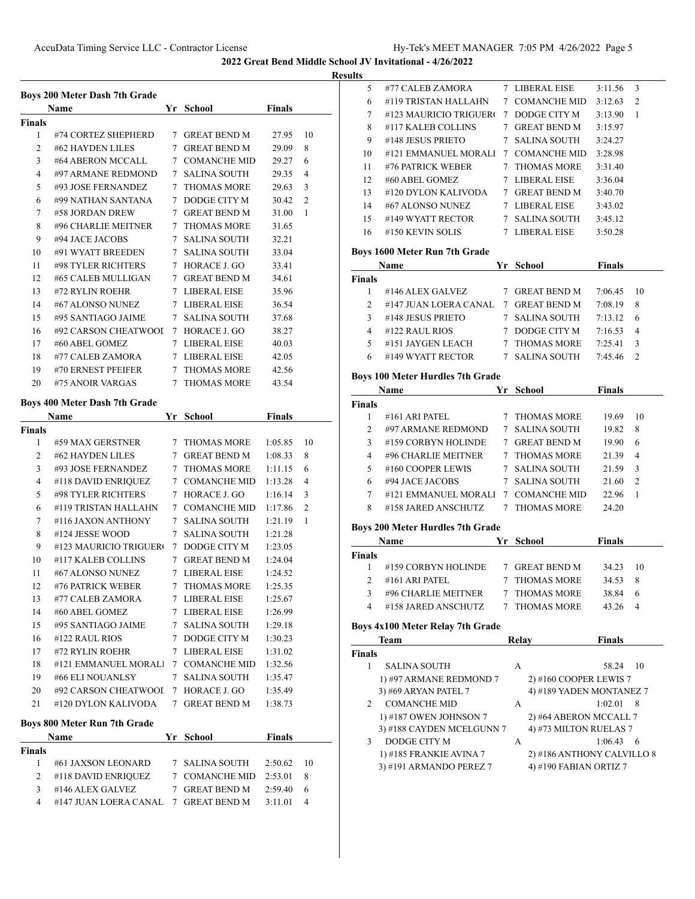**Results**

|                     | Boys 200 Meter Dash 7th Grade<br>Name |    | Yr School          | <b>Finals</b> |    |
|---------------------|---------------------------------------|----|--------------------|---------------|----|
| <b>Finals</b>       |                                       |    |                    |               |    |
| 1                   | #74 CORTEZ SHEPHERD                   |    | 7 GREAT BEND M     | 27.95         | 10 |
| 2                   | #62 HAYDEN LILES                      |    | 7 GREAT BEND M     | 29.09         | 8  |
| 3                   | #64 ABERON MCCALL                     |    | 7 COMANCHE MID     | 29.27         | 6  |
| 4                   | #97 ARMANE REDMOND                    |    | 7 SALINA SOUTH     | 29.35         | 4  |
| 5                   | #93 JOSE FERNANDEZ                    |    | 7 THOMAS MORE      | 29.63         | 3  |
| 6                   | #99 NATHAN SANTANA                    |    | 7 DODGE CITY M     | 30.42         | 2  |
| 7                   | #58 JORDAN DREW                       |    | 7 GREAT BEND M     | 31.00         | 1  |
| 8                   | #96 CHARLIE MEITNER                   |    | 7 THOMAS MORE      | 31.65         |    |
| 9                   | #94 JACE JACOBS                       |    | 7 SALINA SOUTH     | 32.21         |    |
| 10                  | #91 WYATT BREEDEN                     |    | 7 SALINA SOUTH     | 33.04         |    |
| 11                  | #98 TYLER RICHTERS                    |    | 7 HORACE J. GO     | 33.41         |    |
| 12                  | #65 CALEB MULLIGAN                    |    | 7 GREAT BEND M     | 34.61         |    |
| 13                  | #72 RYLIN ROEHR                       |    | 7 LIBERAL EISE     | 35.96         |    |
| 14                  | #67 ALONSO NUNEZ                      |    | 7 LIBERAL EISE     | 36.54         |    |
| 15                  | #95 SANTIAGO JAIME                    |    | 7 SALINA SOUTH     | 37.68         |    |
| 16                  | #92 CARSON CHEATWOOI                  |    | 7 HORACE J. GO     | 38.27         |    |
| 17                  | #60 ABEL GOMEZ                        |    | 7 LIBERAL EISE     | 40.03         |    |
| 18                  | #77 CALEB ZAMORA                      |    | 7 LIBERAL EISE     | 42.05         |    |
| 19                  | #70 ERNEST PFEIFER                    |    | 7 THOMAS MORE      | 42.56         |    |
| 20                  | #75 ANOIR VARGAS                      |    | 7 THOMAS MORE      | 43.54         |    |
|                     | Boys 400 Meter Dash 7th Grade         |    |                    |               |    |
|                     | Name                                  |    | Yr School          | <b>Finals</b> |    |
| <b>Finals</b>       |                                       |    |                    |               |    |
| 1                   | #59 MAX GERSTNER                      |    | 7 THOMAS MORE      | 1:05.85       | 10 |
| 2                   | #62 HAYDEN LILES                      |    | 7 GREAT BEND M     | 1:08.33       | 8  |
| 3                   | #93 JOSE FERNANDEZ                    |    | 7 THOMAS MORE      | 1:11.15       | 6  |
| 4                   | #118 DAVID ENRIQUEZ                   |    | 7 COMANCHE MID     | 1:13.28       | 4  |
| 5                   | #98 TYLER RICHTERS                    |    | 7 HORACE J. GO     | 1:16.14       | 3  |
| 6                   | #119 TRISTAN HALLAHN                  |    | 7 COMANCHE MID     | 1:17.86       | 2  |
| 7                   | #116 JAXON ANTHONY                    |    | 7 SALINA SOUTH     | 1:21.19       | 1  |
| 8                   | #124 JESSE WOOD                       |    | 7 SALINA SOUTH     | 1:21.28       |    |
| 9                   | #123 MAURICIO TRIGUERO                |    | 7 DODGE CITY M     | 1:23.05       |    |
| 10                  | #117 KALEB COLLINS                    |    | 7 GREAT BEND M     | 1:24.04       |    |
| 11                  | #67 ALONSO NUNEZ                      |    | 7 LIBERAL EISE     | 1:24.52       |    |
| 12                  | #76 PATRICK WEBER                     | 7. | <b>THOMAS MORE</b> | 1:25.35       |    |
| 13                  | #77 CALEB ZAMORA                      |    | 7 LIBERAL EISE     | 1:25.67       |    |
| 14                  | #60 ABEL GOMEZ                        |    | 7 LIBERAL EISE     | 1:26.99       |    |
| 15                  | #95 SANTIAGO JAIME                    |    | 7 SALINA SOUTH     | 1:29.18       |    |
| 16                  | #122 RAUL RIOS                        |    | 7 DODGE CITY M     | 1:30.23       |    |
| 17                  | #72 RYLIN ROEHR                       |    | 7 LIBERAL EISE     | 1:31.02       |    |
| 18                  | #121 EMMANUEL MORALI                  |    | 7 COMANCHE MID     | 1:32.56       |    |
| 19                  | #66 ELI NOUANLSY                      |    | 7 SALINA SOUTH     | 1:35.47       |    |
| 20                  | #92 CARSON CHEATWOOI                  |    | 7 HORACE J. GO     | 1:35.49       |    |
| 21                  | #120 DYLON KALIVODA                   |    | 7 GREAT BEND M     | 1:38.73       |    |
|                     | Boys 800 Meter Run 7th Grade          |    |                    |               |    |
|                     | Name                                  |    | Yr School          | <b>Finals</b> |    |
| <b>Finals</b>       |                                       |    |                    |               |    |
| 1                   | #61 JAXSON LEONARD                    |    | 7 SALINA SOUTH     | 2:50.62       | 10 |
|                     | #118 DAVID ENRIQUEZ                   |    | 7 COMANCHE MID     | 2:53.01       | 8  |
|                     |                                       |    | 7 GREAT BEND M     | 2:59.40       | 6  |
| $\overline{2}$<br>3 | #146 ALEX GALVEZ                      |    |                    |               |    |

| a. |                        |   |                     |         |                |
|----|------------------------|---|---------------------|---------|----------------|
| 5  | #77 CALEB ZAMORA       | 7 | LIBERAL EISE        | 3:11.56 | 3              |
| 6  | #119 TRISTAN HALLAHN   | 7 | <b>COMANCHE MID</b> | 3:12.63 | $\mathfrak{D}$ |
| 7  | #123 MAURICIO TRIGUERO | 7 | DODGE CITY M        | 3:13.90 | 1              |
| 8  | #117 KALEB COLLINS     | 7 | <b>GREAT BEND M</b> | 3:15.97 |                |
| 9  | #148 JESUS PRIETO      | 7 | <b>SALINA SOUTH</b> | 3:24.27 |                |
| 10 | #121 EMMANUEL MORALI   | 7 | COMANCHE MID        | 3:28.98 |                |
| 11 | #76 PATRICK WEBER      | 7 | <b>THOMAS MORE</b>  | 3:31.40 |                |
| 12 | #60 ABEL GOMEZ         | 7 | LIBERAL EISE        | 3:36.04 |                |
| 13 | #120 DYLON KALIVODA    |   | <b>GREAT BEND M</b> | 3:40.70 |                |
| 14 | #67 ALONSO NUNEZ       |   | LIBERAL EISE        | 3:43.02 |                |
| 15 | #149 WYATT RECTOR      |   | <b>SALINA SOUTH</b> | 3:45.12 |                |
| 16 | #150 KEVIN SOLIS       |   | LIBERAL EISE        | 3:50.28 |                |
|    |                        |   |                     |         |                |

#### **Boys 1600 Meter Run 7th Grade**

|               | <b>Name</b>                          | Yr. | School              | <b>Finals</b> |               |
|---------------|--------------------------------------|-----|---------------------|---------------|---------------|
| <b>Finals</b> |                                      |     |                     |               |               |
|               | #146 ALEX GALVEZ                     |     | <b>GREAT BEND M</b> | 7:06.45       | -10           |
| $\mathcal{P}$ | #147 JUAN LOERA CANAL 7 GREAT BEND M |     |                     | 7:08.19       | 8             |
| 3             | #148 JESUS PRIETO                    |     | SALINA SOUTH        | 7:13.12       | 6             |
| 4             | $#122$ RAUL RIOS                     |     | DODGE CITY M        | 7:16.53       | 4             |
| 5             | #151 JAYGEN LEACH                    |     | <b>THOMAS MORE</b>  | 7:25.41       | 3             |
|               | #149 WYATT RECTOR                    |     | SALINA SOUTH        | 7:45.46       | $\mathcal{D}$ |
|               |                                      |     |                     |               |               |

## **Boys 100 Meter Hurdles 7th Grade**

|               | Name                 | Yг | <b>School</b>       | <b>Finals</b> |    |
|---------------|----------------------|----|---------------------|---------------|----|
| <b>Finals</b> |                      |    |                     |               |    |
|               | #161 ARI PATEL       |    | <b>THOMAS MORE</b>  | 19.69         | 10 |
| 2             | #97 ARMANE REDMOND   |    | 7 SALINA SOUTH      | 19.82         | 8  |
| 3             | #159 CORBYN HOLINDE  |    | 7 GREAT BEND M      | 19.90         | 6  |
| 4             | #96 CHARLIE MEITNER  |    | 7 THOMAS MORE       | 21.39         | 4  |
| 5             | #160 COOPER LEWIS    |    | 7 SALINA SOUTH      | 21.59         | 3  |
| 6             | #94 JACE JACOBS      |    | 7 SALINA SOUTH      | 21.60         | 2  |
| 7             | #121 EMMANUEL MORALI | 7  | <b>COMANCHE MID</b> | 22.96         |    |
| 8             | #158 JARED ANSCHUTZ  |    | THOMAS MORE         | 24.20         |    |

## **Boys 200 Meter Hurdles 7th Grade**

|               | Name                | Yr School      | Finals |    |
|---------------|---------------------|----------------|--------|----|
| <b>Finals</b> |                     |                |        |    |
|               | #159 CORBYN HOLINDE | 7 GREAT BEND M | 34.23  | 10 |
|               | $\#161$ ARI PATEL   | 7 THOMAS MORE  | 34.53  | -8 |
| 3             | #96 CHARLIE MEITNER | 7 THOMAS MORE  | 38.84  | 6  |
| 4             | #158 JARED ANSCHUTZ | 7 THOMAS MORE  | 43.26  |    |

## **Boys 4x100 Meter Relay 7th Grade**

|               | <b>Team</b>               | Relav | <b>Finals</b>              |
|---------------|---------------------------|-------|----------------------------|
| <b>Finals</b> |                           |       |                            |
|               | <b>SALINA SOUTH</b>       | A     | 58.24<br>10                |
|               | 1) #97 ARMANE REDMOND 7   |       | 2) #160 COOPER LEWIS 7     |
|               | 3) #69 ARYAN PATEL 7      |       | 4) #189 YADEN MONTANEZ 7   |
| $\mathcal{D}$ | <b>COMANCHE MID</b>       | A     | 1:02.01<br>-8              |
|               | 1) #187 OWEN JOHNSON 7    |       | 2) #64 ABERON MCCALL 7     |
|               | 3) #188 CAYDEN MCELGUNN 7 |       | 4) #73 MILTON RUELAS 7     |
| $\mathbf{3}$  | DODGE CITY M              | A     | 1:06.43<br>-6              |
|               | 1) #185 FRANKIE AVINA 7   |       | 2) #186 ANTHONY CALVILLO 8 |
|               | 3) #191 ARMANDO PEREZ 7   |       | 4) #190 FABIAN ORTIZ 7     |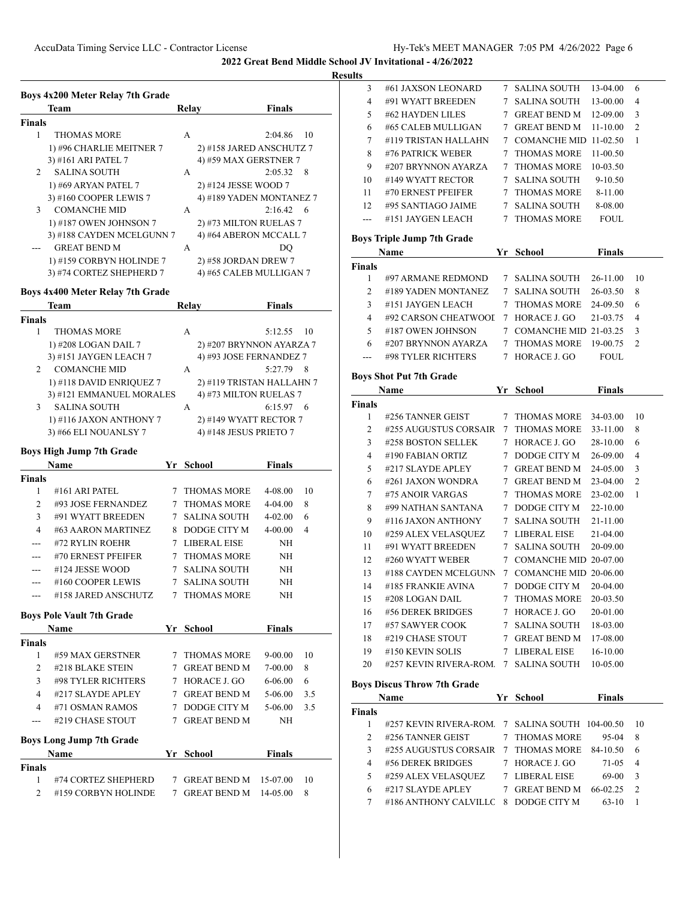|                     | Boys 4x200 Meter Relay 7th Grade                     |   |                                  |                                 |
|---------------------|------------------------------------------------------|---|----------------------------------|---------------------------------|
|                     | Team                                                 |   | Relay                            | Finals                          |
| <b>Finals</b>       |                                                      |   |                                  |                                 |
| 1                   | <b>THOMAS MORE</b>                                   |   | A                                | 2:04.86<br>10                   |
|                     | 1) #96 CHARLIE MEITNER 7                             |   | 2) #158 JARED ANSCHUTZ 7         |                                 |
|                     | 3) #161 ARI PATEL 7                                  |   | 4) #59 MAX GERSTNER 7            |                                 |
| 2                   | SALINA SOUTH                                         |   | А                                | 2:05.32<br>8                    |
|                     | 1) #69 ARYAN PATEL 7                                 |   | 2) #124 JESSE WOOD 7             |                                 |
|                     | 3) #160 COOPER LEWIS 7                               |   |                                  | 4) #189 YADEN MONTANEZ 7        |
| 3                   | <b>COMANCHE MID</b>                                  |   | А                                | 2:16.42<br>6                    |
|                     | 1) #187 OWEN JOHNSON 7                               |   | 2) #73 MILTON RUELAS 7           |                                 |
|                     | 3) #188 CAYDEN MCELGUNN 7                            |   | 4) #64 ABERON MCCALL 7           |                                 |
|                     | <b>GREAT BEND M</b>                                  |   | А                                | DO                              |
|                     | 1) #159 CORBYN HOLINDE 7                             |   | 2) #58 JORDAN DREW 7             |                                 |
|                     | 3) #74 CORTEZ SHEPHERD 7                             |   | 4) #65 CALEB MULLIGAN 7          |                                 |
|                     |                                                      |   |                                  |                                 |
|                     | Boys 4x400 Meter Relay 7th Grade                     |   |                                  |                                 |
|                     | Team                                                 |   | Relay                            | Finals                          |
| <b>Finals</b>       |                                                      |   |                                  |                                 |
| 1                   | <b>THOMAS MORE</b>                                   |   | A                                | 5:12.55<br>10                   |
|                     | 1) #208 LOGAN DAIL 7                                 |   |                                  | 2) #207 BRYNNON AYARZA 7        |
| 2                   | 3) #151 JAYGEN LEACH 7                               |   | 4) #93 JOSE FERNANDEZ 7<br>А     | 5:27.79<br>8                    |
|                     | <b>COMANCHE MID</b>                                  |   |                                  |                                 |
|                     | 1) #118 DAVID ENRIQUEZ 7<br>3) #121 EMMANUEL MORALES |   | 4) #73 MILTON RUELAS 7           | 2) #119 TRISTAN HALLAHN 7       |
| 3                   | <b>SALINA SOUTH</b>                                  |   | A                                | 6:15.97<br>6                    |
|                     |                                                      |   |                                  |                                 |
|                     | 1) #116 JAXON ANTHONY 7                              |   | 2) #149 WYATT RECTOR 7           |                                 |
|                     | 3) #66 ELI NOUANLSY 7                                |   | 4) #148 JESUS PRIETO 7           |                                 |
|                     | <b>Boys High Jump 7th Grade</b>                      |   |                                  |                                 |
|                     |                                                      |   |                                  |                                 |
|                     | Name                                                 |   | Yr School                        | Finals                          |
| <b>Finals</b>       |                                                      |   |                                  |                                 |
| 1                   | #161 ARI PATEL                                       | 7 | <b>THOMAS MORE</b>               | 4-08.00<br>10                   |
| 2                   | #93 JOSE FERNANDEZ                                   |   | 7 THOMAS MORE                    | 4-04.00<br>8                    |
| 3                   | #91 WYATT BREEDEN                                    |   | 7 SALINA SOUTH                   | 4-02.00<br>6                    |
| 4                   | #63 AARON MARTINEZ                                   |   | 8 DODGE CITY M                   | 4-00.00<br>4                    |
| ---                 | #72 RYLIN ROEHR                                      |   | 7 LIBERAL EISE                   | NΗ                              |
|                     | #70 ERNEST PFEIFER                                   |   | 7 THOMAS MORE                    | NH                              |
| ---                 | #124 JESSE WOOD                                      | 7 | SALINA SOUTH                     | NH                              |
| ---                 | #160 COOPER LEWIS                                    | 7 | SALINA SOUTH                     | NΗ                              |
|                     | #158 JARED ANSCHUTZ                                  |   | 7 THOMAS MORE                    | NΗ                              |
|                     |                                                      |   |                                  |                                 |
|                     | <b>Boys Pole Vault 7th Grade</b><br>Name             |   | Yr School                        | <b>Finals</b>                   |
| <b>Finals</b>       |                                                      |   |                                  |                                 |
| $\mathbf{1}$        | #59 MAX GERSTNER                                     |   | 7 THOMAS MORE                    | 9-00.00<br>10                   |
| $\overline{2}$      | #218 BLAKE STEIN                                     |   | 7 GREAT BEND M                   | 7-00.00<br>8                    |
| 3                   | #98 TYLER RICHTERS                                   |   | 7 HORACE J. GO                   | $6 - 06.00$<br>6                |
| 4                   | #217 SLAYDE APLEY                                    |   | 7 GREAT BEND M                   | 3.5<br>5-06.00                  |
| 4                   | #71 OSMAN RAMOS                                      |   | 7 DODGE CITY M                   | 5-06.00<br>3.5                  |
| ---                 | #219 CHASE STOUT                                     |   | 7 GREAT BEND M                   | NΗ                              |
|                     |                                                      |   |                                  |                                 |
|                     | <b>Boys Long Jump 7th Grade</b>                      |   |                                  |                                 |
|                     | Name                                                 |   | Yr School                        | <b>Finals</b>                   |
| <b>Finals</b>       |                                                      |   |                                  |                                 |
| 1<br>$\overline{2}$ | #74 CORTEZ SHEPHERD<br>#159 CORBYN HOLINDE           |   | 7 GREAT BEND M<br>7 GREAT BEND M | 10<br>15-07.00<br>14-05.00<br>8 |

| ults           |                                            |             |                                  |                     |                |
|----------------|--------------------------------------------|-------------|----------------------------------|---------------------|----------------|
| 3              | #61 JAXSON LEONARD                         |             | 7 SALINA SOUTH                   | 13-04.00            | 6              |
| 4              | #91 WYATT BREEDEN                          | 7           | <b>SALINA SOUTH</b>              | 13-00.00            | 4              |
| 5              | #62 HAYDEN LILES                           |             | 7 GREAT BEND M                   | 12-09.00            | 3              |
| 6              | #65 CALEB MULLIGAN                         | 7           | <b>GREAT BEND M</b>              | 11-10.00            | $\overline{2}$ |
| 7              | #119 TRISTAN HALLAHN                       |             | 7 COMANCHE MID 11-02.50          |                     | 1              |
| 8              | #76 PATRICK WEBER                          | 7           | <b>THOMAS MORE</b>               | 11-00.50            |                |
| 9              | #207 BRYNNON AYARZA                        | 7           | <b>THOMAS MORE</b>               | 10-03.50            |                |
| 10             | #149 WYATT RECTOR                          | 7           | <b>SALINA SOUTH</b>              | 9-10.50             |                |
| 11             | #70 ERNEST PFEIFER                         |             | 7 THOMAS MORE                    | 8-11.00             |                |
| 12             | #95 SANTIAGO JAIME                         |             | 7 SALINA SOUTH                   | 8-08.00             |                |
| $\overline{a}$ | #151 JAYGEN LEACH                          |             | 7 THOMAS MORE                    | <b>FOUL</b>         |                |
|                | <b>Boys Triple Jump 7th Grade</b>          |             |                                  |                     |                |
|                | Name                                       |             | Yr School                        | <b>Finals</b>       |                |
| Finals         |                                            |             |                                  |                     |                |
| 1              | #97 ARMANE REDMOND                         |             | 7 SALINA SOUTH                   | 26-11.00            | 10             |
| 2              | #189 YADEN MONTANEZ                        |             | 7 SALINA SOUTH                   | 26-03.50            | 8              |
| 3              | #151 JAYGEN LEACH                          | 7           | <b>THOMAS MORE</b>               | 24-09.50            | 6              |
| $\overline{4}$ | #92 CARSON CHEATWOOI                       | 7           | HORACE J. GO                     | 21-03.75            | 4              |
| 5              | #187 OWEN JOHNSON                          |             | 7 COMANCHE MID 21-03.25          |                     | 3              |
| 6              | #207 BRYNNON AYARZA                        |             | 7 THOMAS MORE                    | 19-00.75            | $\overline{2}$ |
| $---$          | #98 TYLER RICHTERS                         | $7^{\circ}$ | HORACE J. GO                     | <b>FOUL</b>         |                |
|                |                                            |             |                                  |                     |                |
|                | <b>Boys Shot Put 7th Grade</b>             |             |                                  |                     |                |
|                | Name                                       |             | Yr School                        | <b>Finals</b>       |                |
| Finals         | #256 TANNER GEIST                          | 7           | THOMAS MORE                      | 34-03.00            | 10             |
|                |                                            |             |                                  |                     |                |
| 1              |                                            |             |                                  |                     |                |
| 2              | #255 AUGUSTUS CORSAIR                      | 7           | <b>THOMAS MORE</b>               | 33-11.00            | 8              |
| 3              | #258 BOSTON SELLEK                         |             | 7 HORACE J. GO                   | 28-10.00            | 6              |
| 4              | #190 FABIAN ORTIZ                          |             | 7 DODGE CITY M                   | 26-09.00            | 4              |
| 5              | #217 SLAYDE APLEY                          |             | 7 GREAT BEND M                   | 24-05.00            | 3              |
| 6              | #261 JAXON WONDRA                          |             | 7 GREAT BEND M                   | 23-04.00            | $\overline{2}$ |
| 7              | #75 ANOIR VARGAS                           | 7           | <b>THOMAS MORE</b>               | 23-02.00            | 1              |
| 8              | #99 NATHAN SANTANA                         |             | 7 DODGE CITY M                   | 22-10.00            |                |
| 9              | #116 JAXON ANTHONY                         |             | 7 SALINA SOUTH                   | 21-11.00            |                |
| 10             | #259 ALEX VELASQUEZ                        |             | 7 LIBERAL EISE                   | 21-04.00            |                |
| 11             | #91 WYATT BREEDEN                          |             | 7 SALINA SOUTH                   | 20-09.00            |                |
| 12             | #260 WYATT WEBER                           |             | 7 COMANCHE MID 20-07.00          |                     |                |
| 13             | #188 CAYDEN MCELGUNN                       |             | 7 COMANCHE MID 20-06.00          |                     |                |
| 14             | #185 FRANKIE AVINA                         | 7           | DODGE CITY M                     | 20-04.00            |                |
| 15             | #208 LOGAN DAIL                            | 7           | <b>THOMAS MORE</b>               | 20-03.50            |                |
| 16             | #56 DEREK BRIDGES                          |             | 7 HORACE J. GO                   | 20-01.00            |                |
| 17             | #57 SAWYER COOK                            |             | 7 SALINA SOUTH                   | 18-03.00            |                |
| 18             | #219 CHASE STOUT                           |             | 7 GREAT BEND M                   | 17-08.00            |                |
| 19             | #150 KEVIN SOLIS                           |             | 7 LIBERAL EISE                   | 16-10.00            |                |
| 20             | #257 KEVIN RIVERA-ROM                      |             | 7 SALINA SOUTH                   | 10-05.00            |                |
|                | <b>Boys Discus Throw 7th Grade</b>         |             |                                  |                     |                |
|                | Name                                       |             | Yr School                        | <b>Finals</b>       |                |
| <b>Finals</b>  |                                            |             |                                  |                     |                |
| 1              | #257 KEVIN RIVERA-ROM.                     |             | 7 SALINA SOUTH                   | 104-00.50           | 10             |
| 2              | #256 TANNER GEIST                          | 7           | <b>THOMAS MORE</b>               | 95-04               | 8              |
| 3              | #255 AUGUSTUS CORSAIR                      | 7           | <b>THOMAS MORE</b>               | 84-10.50            | 6              |
| 4              | #56 DEREK BRIDGES                          |             | 7 HORACE J. GO                   | 71-05               | 4              |
| 5              | #259 ALEX VELASQUEZ                        |             | 7 LIBERAL EISE                   | 69-00               | 3              |
| 6<br>7         | #217 SLAYDE APLEY<br>#186 ANTHONY CALVILLC |             | 7 GREAT BEND M<br>8 DODGE CITY M | 66-02.25<br>$63-10$ | 2<br>1         |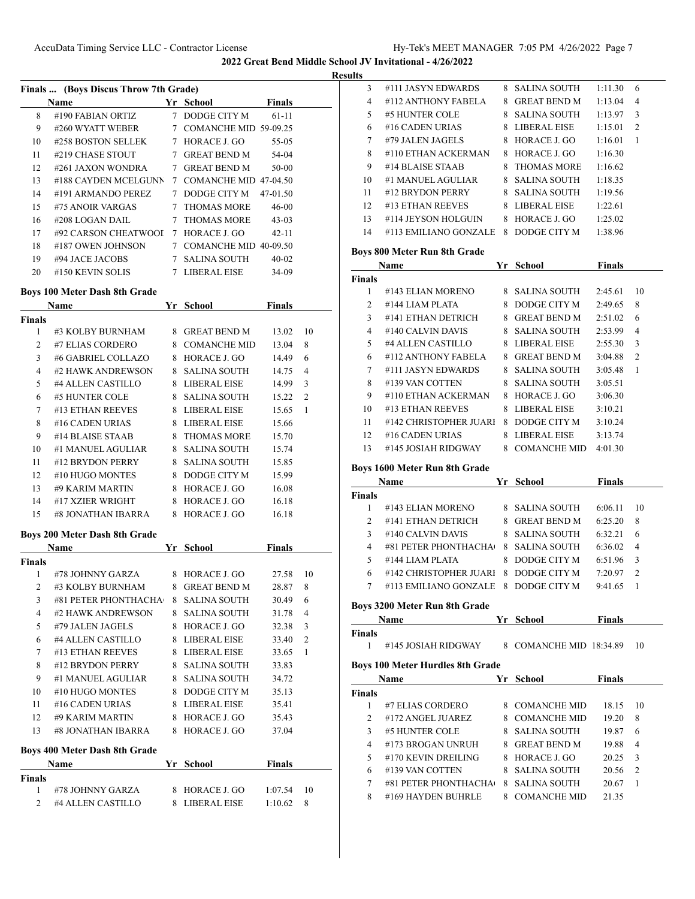**Results**

|                                     | Finals  (Boys Discus Throw 7th Grade) |    |                         |               |                |
|-------------------------------------|---------------------------------------|----|-------------------------|---------------|----------------|
|                                     | Name                                  |    | Yr School               | Finals        |                |
| 8                                   | #190 FABIAN ORTIZ                     |    | 7 DODGE CITY M          | 61-11         |                |
| 9                                   | #260 WYATT WEBER                      |    | 7 COMANCHE MID 59-09.25 |               |                |
| 10                                  | #258 BOSTON SELLEK                    |    | 7 HORACE J. GO          | 55-05         |                |
| 11                                  | #219 CHASE STOUT                      |    | 7 GREAT BEND M          | 54-04         |                |
| 12                                  | #261 JAXON WONDRA                     |    | 7 GREAT BEND M          | 50-00         |                |
| 13                                  | #188 CAYDEN MCELGUNN                  |    | 7 COMANCHE MID 47-04.50 |               |                |
| 14                                  | #191 ARMANDO PEREZ                    |    | 7 DODGE CITY M          | 47-01.50      |                |
| 15                                  | #75 ANOIR VARGAS                      |    | 7 THOMAS MORE           | 46-00         |                |
| 16                                  | #208 LOGAN DAIL                       |    | 7 THOMAS MORE           | $43 - 03$     |                |
| 17                                  | #92 CARSON CHEATWOOL                  |    | 7 HORACE J. GO          | $42 - 11$     |                |
| 18                                  | #187 OWEN JOHNSON                     |    | 7 COMANCHE MID 40-09.50 |               |                |
| 19                                  | #94 JACE JACOBS                       |    | 7 SALINA SOUTH          | $40 - 02$     |                |
| 20                                  | #150 KEVIN SOLIS                      |    | 7 LIBERAL EISE          | 34-09         |                |
|                                     | <b>Boys 100 Meter Dash 8th Grade</b>  |    |                         |               |                |
|                                     | Name                                  |    | Yr School               | Finals        |                |
| <b>Finals</b>                       |                                       |    |                         |               |                |
| 1                                   | #3 KOLBY BURNHAM                      |    | 8 GREAT BEND M          | 13.02         | 10             |
| $\overline{c}$                      | #7 ELIAS CORDERO                      |    | 8 COMANCHE MID          | 13.04         | 8              |
| 3                                   | #6 GABRIEL COLLAZO                    |    | 8 HORACE J. GO          | 14.49         | 6              |
| 4                                   | #2 HAWK ANDREWSON                     |    | 8 SALINA SOUTH          | 14.75         | 4              |
| 5                                   | #4 ALLEN CASTILLO                     |    | 8 LIBERAL EISE          | 14.99         | 3              |
| 6                                   | #5 HUNTER COLE                        |    | 8 SALINA SOUTH          | 15.22         | 2              |
| 7                                   | #13 ETHAN REEVES                      |    | 8 LIBERAL EISE          | 15.65         | 1              |
| 8                                   | #16 CADEN URIAS                       |    | 8 LIBERAL EISE          | 15.66         |                |
| 9                                   | #14 BLAISE STAAB                      | 8  | <b>THOMAS MORE</b>      | 15.70         |                |
| 10                                  | #1 MANUEL AGULIAR                     |    | 8 SALINA SOUTH          | 15.74         |                |
| 11                                  | #12 BRYDON PERRY                      |    | 8 SALINA SOUTH          | 15.85         |                |
| 12                                  | #10 HUGO MONTES                       |    | 8 DODGE CITY M          | 15.99         |                |
| 13                                  | #9 KARIM MARTIN                       |    | 8 HORACE J. GO          | 16.08         |                |
| 14                                  | #17 XZIER WRIGHT                      |    | 8 HORACE J. GO          | 16.18         |                |
| 15                                  | #8 JONATHAN IBARRA                    | 8  | HORACE J. GO            | 16.18         |                |
|                                     |                                       |    |                         |               |                |
|                                     |                                       |    |                         |               |                |
|                                     | Boys 200 Meter Dash 8th Grade<br>Name |    | Yr School               | <b>Finals</b> |                |
|                                     |                                       |    |                         |               |                |
| 1                                   | #78 JOHNNY GARZA                      | 8  | HORACE J. GO            | 27.58         | 10             |
| 2                                   | #3 KOLBY BURNHAM                      | 8. | <b>GREAT BEND M</b>     | 28.87         | 8              |
| 3                                   | #81 PETER PHONTHACHA                  | 8. | <b>SALINA SOUTH</b>     | 30.49         | 6              |
| 4                                   | #2 HAWK ANDREWSON                     | 8  | <b>SALINA SOUTH</b>     | 31.78         | 4              |
| 5                                   | #79 JALEN JAGELS                      |    | 8 HORACE J. GO          | 32.38         | 3              |
| 6                                   | #4 ALLEN CASTILLO                     |    | 8 LIBERAL EISE          | 33.40         | $\overline{c}$ |
| 7                                   | #13 ETHAN REEVES                      |    | 8 LIBERAL EISE          | 33.65         | 1              |
| 8                                   | #12 BRYDON PERRY                      |    | 8 SALINA SOUTH          | 33.83         |                |
| 9                                   | #1 MANUEL AGULIAR                     |    | 8 SALINA SOUTH          | 34.72         |                |
| 10                                  | #10 HUGO MONTES                       |    | 8 DODGE CITY M          | 35.13         |                |
| 11                                  | #16 CADEN URIAS                       |    | 8 LIBERAL EISE          | 35.41         |                |
| 12                                  | #9 KARIM MARTIN                       |    | 8 HORACE J. GO          | 35.43         |                |
| 13                                  | #8 JONATHAN IBARRA                    | 8. | HORACE J. GO            | 37.04         |                |
|                                     | Boys 400 Meter Dash 8th Grade         |    |                         |               |                |
|                                     | Name                                  |    | Yr School               | <b>Finals</b> |                |
| <b>Finals</b><br><b>Finals</b><br>1 | #78 JOHNNY GARZA                      |    | 8 HORACE J. GO          | 1:07.54       | 10             |

| LN. |                       |    |                     |         |                |
|-----|-----------------------|----|---------------------|---------|----------------|
| 3   | #111 JASYN EDWARDS    | 8. | <b>SALINA SOUTH</b> | 1:11.30 | 6              |
| 4   | #112 ANTHONY FAREL A  | 8  | <b>GREAT BEND M</b> | 1:13.04 | 4              |
| 5   | #5 HUNTER COLE        | 8  | <b>SALINA SOUTH</b> | 1:13.97 | 3              |
| 6   | $#16$ CADEN URIAS     | 8  | LIBERAL EISE        | 1:15.01 | $\overline{c}$ |
| 7   | #79 JALEN JAGELS      | 8  | HORACE J. GO        | 1:16.01 | 1              |
| 8   | #110 ETHAN ACKERMAN   | 8  | HORACE J. GO        | 1:16.30 |                |
| 9   | #14 BLAISE STAAB      | 8  | <b>THOMAS MORE</b>  | 1:16.62 |                |
| 10  | #1 MANUEL AGULIAR     | 8  | <b>SALINA SOUTH</b> | 1:18.35 |                |
| 11  | #12 BRYDON PERRY      | 8  | <b>SALINA SOUTH</b> | 1:19.56 |                |
| 12  | #13 ETHAN REEVES      | 8  | LIBERAL EISE        | 1:22.61 |                |
| 13  | #114 JEYSON HOLGUIN   | 8  | HORACE J. GO        | 1:25.02 |                |
| 14  | #113 EMILIANO GONZALE | 8  | DODGE CITY M        | 1:38.96 |                |

## **Boys 800 Meter Run 8th Grade**

|               | Name                   | Yr | School              | <b>Finals</b> |                |
|---------------|------------------------|----|---------------------|---------------|----------------|
| <b>Finals</b> |                        |    |                     |               |                |
| 1             | #143 ELIAN MORENO      | 8. | SALINA SOUTH        | 2:45.61       | 10             |
| 2             | #144 LIAM PLATA        | 8  | DODGE CITY M        | 2:49.65       | 8              |
| 3             | #141 ETHAN DETRICH     | 8  | <b>GREAT BEND M</b> | 2:51.02       | 6              |
| 4             | #140 CALVIN DAVIS      | 8  | <b>SALINA SOUTH</b> | 2:53.99       | 4              |
| 5             | #4 ALLEN CASTILLO      | 8  | LIBERAL EISE        | 2:55.30       | 3              |
| 6             | #112 ANTHONY FABELA    | 8  | <b>GREAT BEND M</b> | 3:04.88       | $\overline{2}$ |
| 7             | #111 JASYN EDWARDS     | 8  | <b>SALINA SOUTH</b> | 3:05.48       | 1              |
| 8             | #139 VAN COTTEN        |    | 8 SALINA SOUTH      | 3:05.51       |                |
| 9             | #110 ETHAN ACKERMAN    | 8  | HORACE J. GO        | 3:06.30       |                |
| 10            | #13 ETHAN REEVES       | 8  | LIBERAL EISE        | 3:10.21       |                |
| 11            | #142 CHRISTOPHER JUARI | 8  | DODGE CITY M        | 3:10.24       |                |
| 12            | #16 CADEN URIAS        | 8  | LIBERAL EISE        | 3:13.74       |                |
| 13            | #145 JOSIAH RIDGWAY    | 8  | <b>COMANCHE MID</b> | 4:01.30       |                |

#### **Boys 1600 Meter Run 8th Grade**

|               | <b>Name</b>            | Yr | School              | <b>Finals</b> |               |
|---------------|------------------------|----|---------------------|---------------|---------------|
| <b>Finals</b> |                        |    |                     |               |               |
|               | #143 ELIAN MORENO      | 8. | - SALINA SOUTH      | 6:06.11       | 10            |
|               | #141 ETHAN DETRICH     | 8. | <b>GREAT BEND M</b> | 6:25.20       | 8             |
| ٩             | #140 CALVIN DAVIS      |    | 8 SALINA SOUTH      | 6:32.21       | 6             |
| 4             | #81 PETER PHONTHACHA   | 8. | - SALINA SOUTH      | 6:36.02       | 4             |
| 5             | #144 LIAM PLATA        | 8  | DODGE CITY M        | 6:51.96       | 3             |
| 6             | #142 CHRISTOPHER JUARI | 8  | DODGE CITY M        | 7:20.97       | $\mathcal{D}$ |
|               | #113 EMILIANO GONZALE  | 8  | DODGE CITY M        | 9:41.65       |               |
|               |                        |    |                     |               |               |

#### **Boys 3200 Meter Run 8th Grade**

|                    | Name                                    | Yr | <b>School</b>         | <b>Finals</b> |                |
|--------------------|-----------------------------------------|----|-----------------------|---------------|----------------|
| <b>Finals</b><br>1 | #145 JOSIAH RIDGWAY                     | 8  | COMANCHE MID 18:34.89 |               | 10             |
|                    | <b>Boys 100 Meter Hurdles 8th Grade</b> |    |                       |               |                |
|                    | Name                                    | Yr | School                | Finals        |                |
| <b>Finals</b>      |                                         |    |                       |               |                |
| 1                  | #7 ELIAS CORDERO                        | 8  | <b>COMANCHE MID</b>   | 18.15         | 10             |
| 2                  | #172 ANGEL JUAREZ                       | 8  | <b>COMANCHE MID</b>   | 19.20         | 8              |
| 3                  | #5 HUNTER COLE                          | 8  | <b>SALINA SOUTH</b>   | 19.87         | 6              |
| 4                  | #173 BROGAN UNRUH                       | 8  | <b>GREAT BEND M</b>   | 19.88         | 4              |
| 5                  | #170 KEVIN DREILING                     | 8  | HORACE J. GO          | 20.25         | 3              |
| 6                  | #139 VAN COTTEN                         | 8  | <b>SALINA SOUTH</b>   | 20.56         | $\mathfrak{D}$ |
| 7                  | #81 PETER PHONTHACHA                    | 8  | <b>SALINA SOUTH</b>   | 20.67         | 1              |
| 8                  | #169 HAYDEN BUHRLE                      | 8  | <b>COMANCHE MID</b>   | 21.35         |                |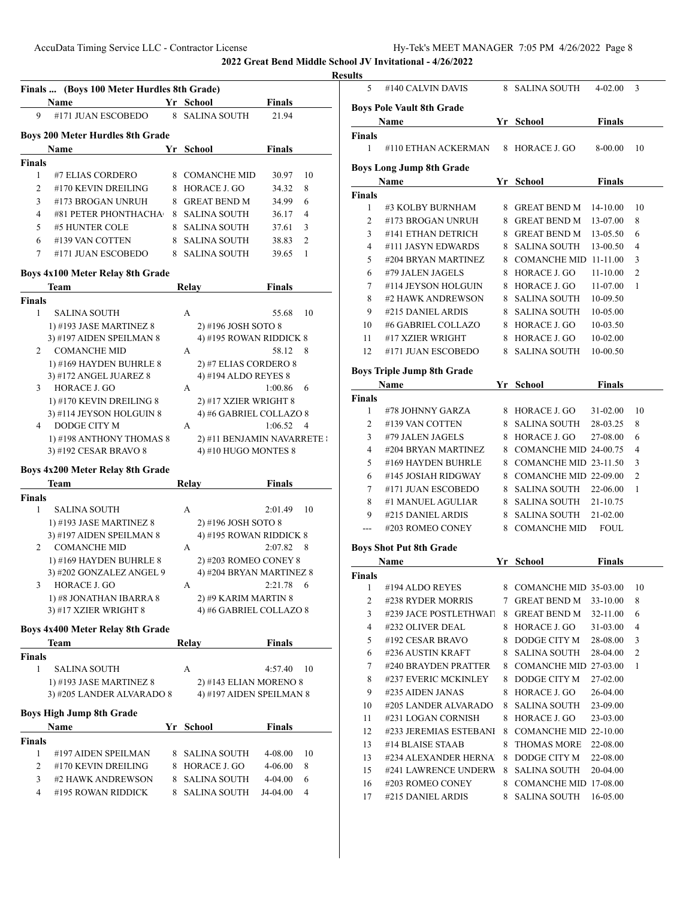|                     | Finals  (Boys 100 Meter Hurdles 8th Grade)<br>Name   |    | Yr School                                          | <b>Finals</b>                 |
|---------------------|------------------------------------------------------|----|----------------------------------------------------|-------------------------------|
| 9                   | #171 JUAN ESCOBEDO                                   |    | 8 SALINA SOUTH                                     | 21.94                         |
|                     |                                                      |    |                                                    |                               |
|                     | <b>Boys 200 Meter Hurdles 8th Grade</b>              |    |                                                    |                               |
|                     | Name                                                 |    | Yr School                                          | Finals                        |
| <b>Finals</b>       |                                                      |    |                                                    |                               |
| 1                   | #7 ELIAS CORDERO                                     |    | 8 COMANCHE MID                                     | 30.97<br>10                   |
| 2                   | #170 KEVIN DREILING                                  | 8  | HORACE J. GO                                       | 34.32<br>8                    |
| 3                   | #173 BROGAN UNRUH                                    | 8. | <b>GREAT BEND M</b>                                | 6<br>34.99                    |
| $\overline{4}$      | #81 PETER PHONTHACHA                                 | 8. | <b>SALINA SOUTH</b>                                | $\overline{4}$<br>36.17       |
| 5                   | #5 HUNTER COLE                                       | 8. | <b>SALINA SOUTH</b>                                | 37.61<br>3                    |
| 6                   | #139 VAN COTTEN                                      | 8  | <b>SALINA SOUTH</b>                                | $\overline{c}$<br>38.83       |
| 7                   | #171 JUAN ESCOBEDO                                   |    | 8 SALINA SOUTH                                     | 39.65<br>1                    |
|                     | Boys 4x100 Meter Relay 8th Grade                     |    |                                                    |                               |
|                     | Team                                                 |    | Relay                                              | Finals                        |
| <b>Finals</b>       |                                                      |    |                                                    |                               |
| 1                   | <b>SALINA SOUTH</b>                                  |    | A                                                  | 55.68<br>10                   |
|                     | 1) #193 JASE MARTINEZ 8                              |    | 2) #196 JOSH SOTO 8                                |                               |
|                     | 3) #197 AIDEN SPEILMAN 8                             |    | 4) #195 ROWAN RIDDICK 8                            |                               |
| 2                   | <b>COMANCHE MID</b>                                  |    | А                                                  | 58.12<br>8                    |
|                     | 1) #169 HAYDEN BUHRLE 8                              |    | 2) #7 ELIAS CORDERO 8                              |                               |
|                     | 3) #172 ANGEL JUAREZ 8                               |    | 4) #194 ALDO REYES 8                               |                               |
| 3                   | HORACE J. GO                                         |    | A                                                  | 1:00.86<br>6                  |
|                     | 1) #170 KEVIN DREILING 8                             |    | 2) #17 XZIER WRIGHT 8                              |                               |
|                     | 3) #114 JEYSON HOLGUIN 8                             |    | 4) #6 GABRIEL COLLAZO 8                            |                               |
| 4                   | DODGE CITY M                                         |    | А                                                  | 1:06.52<br>4                  |
|                     | 1) #198 ANTHONY THOMAS 8                             |    | 2) #11 BENJAMIN NAVARRETE :                        |                               |
|                     | 3) #192 CESAR BRAVO 8                                |    | 4) #10 HUGO MONTES 8                               |                               |
|                     |                                                      |    |                                                    |                               |
|                     | Boys 4x200 Meter Relay 8th Grade                     |    |                                                    |                               |
|                     | Team                                                 |    | Relay                                              | <b>Finals</b>                 |
|                     |                                                      |    |                                                    |                               |
|                     |                                                      |    |                                                    |                               |
| <b>Finals</b><br>1  | <b>SALINA SOUTH</b>                                  |    | А                                                  | 2:01.49<br>10                 |
|                     | 1) #193 JASE MARTINEZ 8                              |    | 2) #196 JOSH SOTO 8                                |                               |
|                     | 3) #197 AIDEN SPEILMAN 8                             |    | 4) #195 ROWAN RIDDICK 8                            |                               |
| 2                   | <b>COMANCHE MID</b>                                  |    | А                                                  | 2:07.82<br>8                  |
|                     | 1) #169 HAYDEN BUHRLE 8                              |    | 2) #203 ROMEO CONEY 8                              |                               |
|                     | 3) #202 GONZALEZ ANGEL 9                             |    | 4) #204 BRYAN MARTINEZ 8                           |                               |
| 3                   | HORACE J. GO                                         |    | А                                                  | 2:21.78<br>6                  |
|                     | 1) #8 JONATHAN IBARRA 8                              |    | 2) #9 KARIM MARTIN 8                               |                               |
|                     | 3) #17 XZIER WRIGHT 8                                |    | 4) #6 GABRIEL COLLAZO 8                            |                               |
|                     | Boys 4x400 Meter Relay 8th Grade                     |    |                                                    |                               |
|                     | Team                                                 |    | Relay                                              | Finals                        |
| <b>Finals</b>       |                                                      |    |                                                    |                               |
| 1                   | SALINA SOUTH                                         |    | A                                                  | 10<br>4:57.40                 |
|                     |                                                      |    |                                                    |                               |
|                     | 1) #193 JASE MARTINEZ 8<br>3) #205 LANDER ALVARADO 8 |    | 2) #143 ELIAN MORENO 8<br>4) #197 AIDEN SPEILMAN 8 |                               |
|                     |                                                      |    |                                                    |                               |
|                     | <b>Boys High Jump 8th Grade</b>                      |    |                                                    |                               |
|                     | Name                                                 |    | Yr School                                          | <b>Finals</b>                 |
| <b>Finals</b>       |                                                      |    |                                                    |                               |
| 1                   | #197 AIDEN SPEILMAN                                  |    | 8 SALINA SOUTH                                     | 4-08.00<br>10                 |
| 2                   | #170 KEVIN DREILING                                  | 8  | HORACE J. GO                                       | 8<br>4-06.00                  |
| 3<br>$\overline{4}$ | #2 HAWK ANDREWSON<br>#195 ROWAN RIDDICK              | 8. | SALINA SOUTH<br>SALINA SOUTH                       | 4-04.00<br>6<br>4<br>J4-04.00 |

| uns            |                                            |        |                                             |               |                |
|----------------|--------------------------------------------|--------|---------------------------------------------|---------------|----------------|
| 5              | #140 CALVIN DAVIS                          |        | 8 SALINA SOUTH                              | 4-02.00       | 3              |
|                | <b>Boys Pole Vault 8th Grade</b>           |        |                                             |               |                |
|                | Name                                       |        | Yr School                                   | <b>Finals</b> |                |
| Finals         |                                            |        |                                             |               |                |
| 1              | #110 ETHAN ACKERMAN                        |        | 8 HORACE J. GO                              | 8-00.00       | 10             |
|                | <b>Boys Long Jump 8th Grade</b>            |        |                                             |               |                |
|                | <b>Name</b>                                |        | Yr School                                   | Finals        |                |
| Finals         |                                            |        |                                             |               |                |
| 1              | #3 KOLBY BURNHAM                           |        | 8 GREAT BEND M                              | 14-10.00      | 10             |
| 2              | #173 BROGAN UNRUH                          |        | 8 GREAT BEND M                              | 13-07.00      | 8              |
| 3              | #141 ETHAN DETRICH                         |        | 8 GREAT BEND M                              | 13-05.50      | 6              |
| $\overline{4}$ | #111 JASYN EDWARDS                         |        | 8 SALINA SOUTH                              | 13-00.50      | 4              |
| 5              | #204 BRYAN MARTINEZ                        |        | 8 COMANCHE MID 11-11.00                     |               | 3              |
| 6              | #79 JALEN JAGELS                           |        | 8 HORACE J. GO                              | 11-10.00      | 2              |
| 7              | #114 JEYSON HOLGUIN                        |        | 8 HORACE J. GO                              | 11-07.00      | 1              |
| 8              | #2 HAWK ANDREWSON                          |        | 8 SALINA SOUTH                              | 10-09.50      |                |
| 9              | #215 DANIEL ARDIS                          |        | 8 SALINA SOUTH                              | 10-05.00      |                |
| 10             | #6 GABRIEL COLLAZO                         |        | 8 HORACE J. GO                              | 10-03.50      |                |
| 11             | #17 XZIER WRIGHT                           |        | 8 HORACE J. GO                              | 10-02.00      |                |
| 12             | #171 JUAN ESCOBEDO                         |        | 8 SALINA SOUTH                              | 10-00.50      |                |
|                | <b>Boys Triple Jump 8th Grade</b>          |        |                                             |               |                |
|                | Name                                       |        | Yr School                                   | Finals        |                |
| <b>Finals</b>  |                                            |        |                                             |               |                |
| 1              | #78 JOHNNY GARZA                           |        | 8 HORACE J. GO 31-02.00                     |               | 10             |
| 2              | #139 VAN COTTEN                            |        | 8 SALINA SOUTH                              | 28-03.25      | 8              |
| 3              | #79 JALEN JAGELS                           |        | 8 HORACE J. GO                              | 27-08.00      | 6              |
| $\overline{4}$ | #204 BRYAN MARTINEZ                        |        | 8 COMANCHE MID 24-00.75                     |               | 4              |
| 5              | #169 HAYDEN BUHRLE                         |        | 8 COMANCHE MID 23-11.50                     |               | 3              |
| 6              | #145 JOSIAH RIDGWAY                        |        | 8 COMANCHE MID 22-09.00                     |               | $\overline{2}$ |
| 7              | #171 JUAN ESCOBEDO                         |        | 8 SALINA SOUTH 22-06.00                     |               | 1              |
| 8              | #1 MANUEL AGULIAR                          |        | 8 SALINA SOUTH                              | 21-10.75      |                |
| 9              | #215 DANIEL ARDIS                          |        | 8 SALINA SOUTH                              | 21-02.00      |                |
| $---$          | #203 ROMEO CONEY                           |        | 8 COMANCHE MID                              | <b>FOUL</b>   |                |
|                | <b>Boys Shot Put 8th Grade</b>             |        |                                             |               |                |
|                | Name                                       |        | Yr School                                   | <b>Finals</b> |                |
| Finals         |                                            |        |                                             |               |                |
| 1              | #194 ALDO REYES                            |        | 8 COMANCHE MID 35-03.00                     |               | 10             |
| 2              | #238 RYDER MORRIS                          |        | 7 GREAT BEND M                              | 33-10.00      | 8              |
| 3              | #239 JACE POSTLETHWAIT                     |        | 8 GREAT BEND M                              | 32-11.00      | 6              |
| 4              | #232 OLIVER DEAL                           |        | 8 HORACE J. GO                              | 31-03.00      | 4              |
| 5              | #192 CESAR BRAVO                           | 8.     | DODGE CITY M                                | 28-08.00      | 3              |
| 6              | #236 AUSTIN KRAFT                          | 8.     | <b>SALINA SOUTH</b>                         | 28-04.00      | 2              |
| 7              | #240 BRAYDEN PRATTER                       | 8      | COMANCHE MID 27-03.00                       |               | 1              |
| 8              | #237 EVERIC MCKINLEY                       | 8      | DODGE CITY M                                | 27-02.00      |                |
| 9              | #235 AIDEN JANAS                           | 8.     | HORACE J. GO                                | 26-04.00      |                |
| 10             | #205 LANDER ALVARADO                       | 8      | SALINA SOUTH                                | 23-09.00      |                |
| 11             | #231 LOGAN CORNISH                         | 8      | HORACE J. GO                                | 23-03.00      |                |
| 12<br>13       | #233 JEREMIAS ESTEBANI<br>#14 BLAISE STAAB | 8<br>8 | COMANCHE MID 22-10.00<br><b>THOMAS MORE</b> | 22-08.00      |                |
| 13             | #234 ALEXANDER HERNA                       | 8      | DODGE CITY M                                | 22-08.00      |                |
| 15             | #241 LAWRENCE UNDERW                       | 8      | <b>SALINA SOUTH</b>                         | 20-04.00      |                |
| 16             | #203 ROMEO CONEY                           | 8      | COMANCHE MID 17-08.00                       |               |                |
| 17             | #215 DANIEL ARDIS                          | 8.     | <b>SALINA SOUTH</b>                         | 16-05.00      |                |
|                |                                            |        |                                             |               |                |